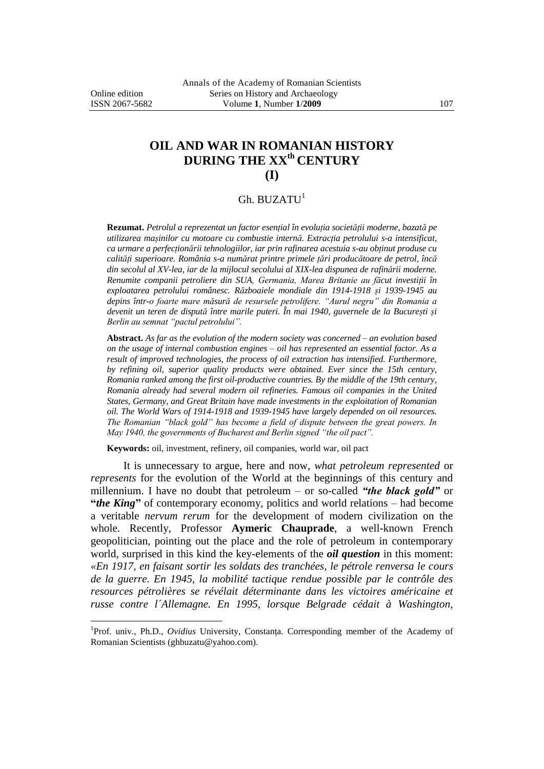$\overline{a}$ 

## **OIL AND WAR IN ROMANIAN HISTORY DURING THE XXth CENTURY (I)**

## Gh. BUZATU<sup>1</sup>

**Rezumat.** *Petrolul a reprezentat un factor esențial în evoluția societății moderne, bazată pe utilizarea mașinilor cu motoare cu combustie internă. Extracția petrolului s-a intensificat, ca urmare a perfecționării tehnologiilor, iar prin rafinarea acestuia s-au obținut produse cu calități superioare. România s-a numărat printre primele țări producătoare de petrol, încă din secolul al XV-lea, iar de la mijlocul secolului al XIX-lea dispunea de rafinării moderne. Renumite companii petroliere din SUA, Germania, Marea Britanie au făcut investiții în exploatarea petrolului românesc. Războaiele mondiale din 1914-1918 și 1939-1945 au depins într-o foarte mare măsură de resursele petrolifere. "Aurul negru" din Romania a devenit un teren de dispută între marile puteri. În mai 1940, guvernele de la București și Berlin au semnat "pactul petrolului".*

**Abstract.** *As far as the evolution of the modern society was concerned – an evolution based on the usage of internal combustion engines – oil has represented an essential factor. As a result of improved technologies, the process of oil extraction has intensified. Furthermore, by refining oil, superior quality products were obtained. Ever since the 15th century, Romania ranked among the first oil-productive countries. By the middle of the 19th century, Romania already had several modern oil refineries. Famous oil companies in the United States, Germany, and Great Britain have made investments in the exploitation of Romanian oil. The World Wars of 1914-1918 and 1939-1945 have largely depended on oil resources. The Romanian "black gold" has become a field of dispute between the great powers. In May 1940, the governments of Bucharest and Berlin signed "the oil pact".*

**Keywords:** oil, investment, refinery, oil companies, world war, oil pact

It is unnecessary to argue, here and now, *what petroleum represented* or *represents* for the evolution of the World at the beginnings of this century and millennium. I have no doubt that petroleum – or so-called *"the black gold"* or "*the King*" of contemporary economy, politics and world relations – had become a veritable *nervum rerum* for the development of modern civilization on the whole. Recently, Professor **Aymeric Chauprade**, a well-known French geopolitician, pointing out the place and the role of petroleum in contemporary world, surprised in this kind the key-elements of the *oil question* in this moment: *«En 1917, en faisant sortir les soldats des tranchées, le pétrole renversa le cours de la guerre. En 1945, la mobilité tactique rendue possible par le contrôle des resources pétrolières se révélait déterminante dans les victoires américaine et russe contre l´Allemagne. En 1995, lorsque Belgrade cédait à Washington,* 

<sup>&</sup>lt;sup>1</sup>Prof. univ., Ph.D., *Ovidius* University, Constanța. Corresponding member of the Academy of Romanian Scientists (ghbuzatu@yahoo.com).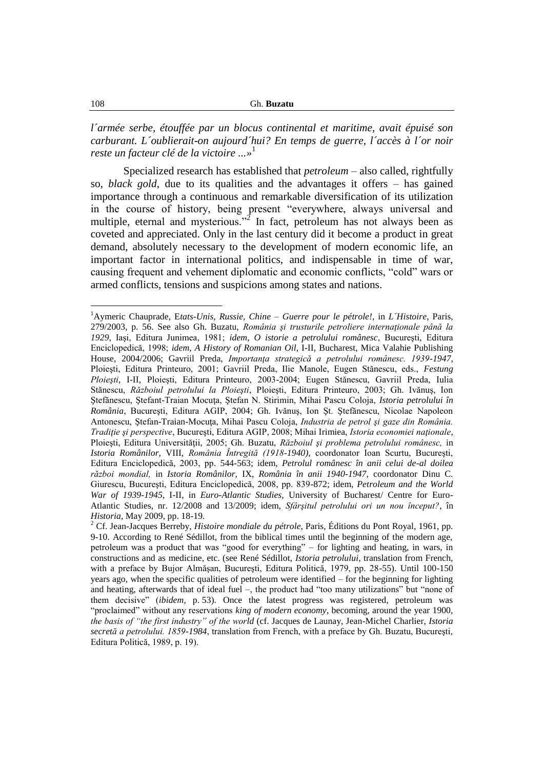*l´armée serbe, étouffée par un blocus continental et maritime, avait épuisé son carburant. L´oublierait-on aujourd´hui? En temps de guerre, l´accès à l´or noir reste un facteur clé de la victoire ...»*<sup>1</sup>

Specialized research has established that *petroleum* – also called, rightfully so, *black gold*, due to its qualities and the advantages it offers – has gained importance through a continuous and remarkable diversification of its utilization in the course of history, being present "everywhere, always universal and multiple, eternal and mysterious."<sup>2</sup> In fact, petroleum has not always been as coveted and appreciated. Only in the last century did it become a product in great demand, absolutely necessary to the development of modern economic life, an important factor in international politics, and indispensable in time of war, causing frequent and vehement diplomatic and economic conflicts, "cold" wars or armed conflicts, tensions and suspicions among states and nations.

<sup>1</sup>Aymeric Chauprade, E*tats-Unis, Russie, Chine – Guerre pour le pétrole!*, in *L´Histoire*, Paris, 279/2003, p. 56. See also Gh. Buzatu, *România şi trusturile petroliere internaţionale până la 1929*, Iaşi, Editura Junimea, 1981; *idem*, *O istorie a petrolului românesc*, Bucureşti, Editura Enciclopedică, 1998; *idem*, *A History of Romanian Oil*, I-II, Bucharest, Mica Valahie Publishing House, 2004/2006; Gavriil Preda, *Importanţa strategică a petrolului românesc. 1939-1947*, Ploieşti, Editura Printeuro, 2001; Gavriil Preda, Ilie Manole, Eugen Stănescu, eds., *Festung Ploieşti*, I-II, Ploieşti, Editura Printeuro, 2003-2004; Eugen Stănescu, Gavriil Preda, Iulia Stănescu, *Războiul petrolului la Ploieşti*, Ploieşti, Editura Printeuro, 2003; Gh. Ivănuş, Ion Ştefănescu, Ştefant-Traian Mocuţa, Ştefan N. Stirimin, Mihai Pascu Coloja, *Istoria petrolului în România*, Bucureşti, Editura AGIP, 2004; Gh. Ivănuş, Ion Şt. Ştefănescu, Nicolae Napoleon Antonescu, Ştefan-Traian-Mocuţa, Mihai Pascu Coloja, *Industria de petrol şi gaze din România. Tradiţie şi perspective*, Bucureşti, Editura AGIP, 2008; Mihai Irimiea, *Istoria economiei naţionale*, Ploieşti, Editura Universităţii, 2005; Gh. Buzatu, *Războiul şi problema petrolului românesc,* in *Istoria Românilor,* VIII, *România Întregită (1918-1940),* coordonator Ioan Scurtu, Bucureşti, Editura Enciclopedică, 2003, pp. 544-563; idem, *Petrolul românesc în anii celui de-al doilea război mondial,* in *Istoria Românilor,* IX, *România în anii 1940-1947,* coordonator Dinu C. Giurescu, Bucureşti, Editura Enciclopedică, 2008, pp. 839-872; idem, *Petroleum and the World War of 1939-1945*, I-II, in *Euro-Atlantic Studies*, University of Bucharest/ Centre for Euro-Atlantic Studies, nr. 12/2008 and 13/2009; idem, *Sfârşitul petrolului ori un nou început?*, în *Historia*, May 2009, pp. 18-19.

<sup>2</sup> Cf. Jean-Jacques Berreby, *Histoire mondiale du pétrole*, Paris, Éditions du Pont Royal, 1961, pp. 9-10. According to René Sédillot, from the biblical times until the beginning of the modern age, petroleum was a product that was "good for everything" – for lighting and heating, in wars, in constructions and as medicine, etc. (see René Sédillot, *Istoria petrolului*, translation from French, with a preface by Bujor Almăşan, Bucureşti, Editura Politică, 1979, pp. 28-55). Until 100-150 years ago, when the specific qualities of petroleum were identified – for the beginning for lighting and heating, afterwards that of ideal fuel –, the product had "too many utilizations" but "none of them decisive" (*ibidem,* p. 53). Once the latest progress was registered, petroleum was "proclaimed" without any reservations *king of modern economy*, becoming, around the year 1900, *the basis of "the first industry" of the world* (cf. Jacques de Launay, Jean-Michel Charlier, *Istoria secretă a petrolului. 1859-1984*, translation from French, with a preface by Gh. Buzatu, Bucureşti, Editura Politică, 1989, p. 19).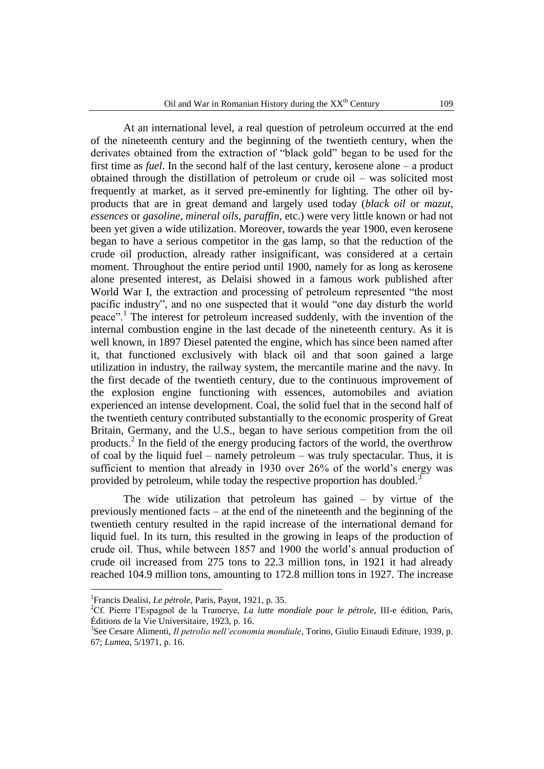At an international level, a real question of petroleum occurred at the end of the nineteenth century and the beginning of the twentieth century, when the derivates obtained from the extraction of "black gold" began to be used for the first time as *fuel*. In the second half of the last century, kerosene alone – a product obtained through the distillation of petroleum or crude oil – was solicited most frequently at market, as it served pre-eminently for lighting. The other oil byproducts that are in great demand and largely used today (*black oil* or *mazut*, *essences* or *gasoline*, *mineral oils*, *paraffin*, etc.) were very little known or had not been yet given a wide utilization. Moreover, towards the year 1900, even kerosene began to have a serious competitor in the gas lamp, so that the reduction of the crude oil production, already rather insignificant, was considered at a certain moment. Throughout the entire period until 1900, namely for as long as kerosene alone presented interest, as Delaisi showed in a famous work published after World War I, the extraction and processing of petroleum represented "the most pacific industry", and no one suspected that it would "one day disturb the world peace".<sup>1</sup> The interest for petroleum increased suddenly, with the invention of the internal combustion engine in the last decade of the nineteenth century. As it is well known, in 1897 Diesel patented the engine, which has since been named after it, that functioned exclusively with black oil and that soon gained a large utilization in industry, the railway system, the mercantile marine and the navy. In the first decade of the twentieth century, due to the continuous improvement of the explosion engine functioning with essences, automobiles and aviation experienced an intense development. Coal, the solid fuel that in the second half of the twentieth century contributed substantially to the economic prosperity of Great Britain, Germany, and the U.S., began to have serious competition from the oil products.<sup>2</sup> In the field of the energy producing factors of the world, the overthrow of coal by the liquid fuel – namely petroleum – was truly spectacular. Thus, it is sufficient to mention that already in 1930 over 26% of the world's energy was provided by petroleum, while today the respective proportion has doubled.<sup>3</sup>

The wide utilization that petroleum has gained  $-$  by virtue of the previously mentioned facts – at the end of the nineteenth and the beginning of the twentieth century resulted in the rapid increase of the international demand for liquid fuel. In its turn, this resulted in the growing in leaps of the production of crude oil. Thus, while between 1857 and 1900 the world"s annual production of crude oil increased from 275 tons to 22.3 million tons, in 1921 it had already reached 104.9 million tons, amounting to 172.8 million tons in 1927. The increase

<sup>&</sup>lt;sup>1</sup> Francis Dealisi, *Le pétrole*, Paris, Payot, 1921, p. 35.

<sup>2</sup>Cf. Pierre l"Espagnol de la Tramerye, *La lutte mondiale pour le pétrole*, III-e édition, Paris, Éditions de la Vie Universitaire, 1923, p. 16.

<sup>3</sup> See Cesare Alimenti, *Il petrolio nell'economia mondiale*, Torino, Giulio Einaudi Editure, 1939, p. 67; *Lumea*, 5/1971, p. 16.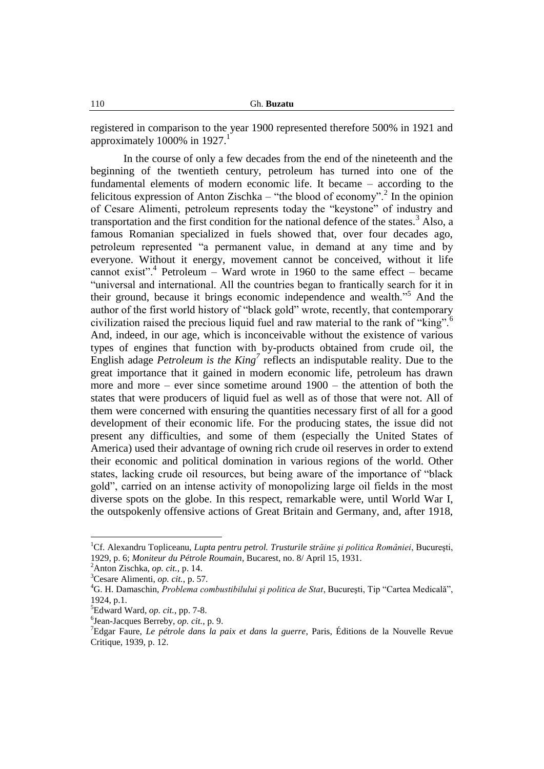registered in comparison to the year 1900 represented therefore 500% in 1921 and approximately 1000% in  $1927$ .<sup>1</sup>

In the course of only a few decades from the end of the nineteenth and the beginning of the twentieth century, petroleum has turned into one of the fundamental elements of modern economic life. It became – according to the felicitous expression of Anton Zischka – "the blood of economy".<sup>2</sup> In the opinion of Cesare Alimenti, petroleum represents today the "keystone" of industry and transportation and the first condition for the national defence of the states.<sup>3</sup> Also, a famous Romanian specialized in fuels showed that, over four decades ago, petroleum represented "a permanent value, in demand at any time and by everyone. Without it energy, movement cannot be conceived, without it life cannot exist".<sup>4</sup> Petroleum – Ward wrote in 1960 to the same effect – became "universal and international. All the countries began to frantically search for it in their ground, because it brings economic independence and wealth."<sup>5</sup> And the author of the first world history of "black gold" wrote, recently, that contemporary civilization raised the precious liquid fuel and raw material to the rank of "king".<sup>6</sup> And, indeed, in our age, which is inconceivable without the existence of various types of engines that function with by-products obtained from crude oil, the English adage *Petroleum is the King<sup>7</sup>* reflects an indisputable reality. Due to the great importance that it gained in modern economic life, petroleum has drawn more and more – ever since sometime around  $1900$  – the attention of both the states that were producers of liquid fuel as well as of those that were not. All of them were concerned with ensuring the quantities necessary first of all for a good development of their economic life. For the producing states, the issue did not present any difficulties, and some of them (especially the United States of America) used their advantage of owning rich crude oil reserves in order to extend their economic and political domination in various regions of the world. Other states, lacking crude oil resources, but being aware of the importance of "black gold", carried on an intense activity of monopolizing large oil fields in the most diverse spots on the globe. In this respect, remarkable were, until World War I, the outspokenly offensive actions of Great Britain and Germany, and, after 1918,

<sup>&</sup>lt;sup>1</sup>Cf. Alexandru Topliceanu, *Lupta pentru petrol. Trusturile străine și politica României*, București, 1929, p. 6; *Moniteur du Pétrole Roumain*, Bucarest, no. 8/ April 15, 1931.

<sup>2</sup>Anton Zischka, *op. cit.*, p. 14.

<sup>3</sup>Cesare Alimenti, *op. cit.*, p. 57.

<sup>4</sup>G. H. Damaschin, *Problema combustibilului şi politica de Stat*, Bucureşti, Tip "Cartea Medicală", 1924, p.1.

<sup>5</sup>Edward Ward, *op. cit.*, pp. 7-8.

<sup>6</sup> Jean-Jacques Berreby, *op. cit.*, p. 9.

<sup>7</sup>Edgar Faure, *Le pétrole dans la paix et dans la guerre*, Paris, Éditions de la Nouvelle Revue Critique, 1939, p. 12.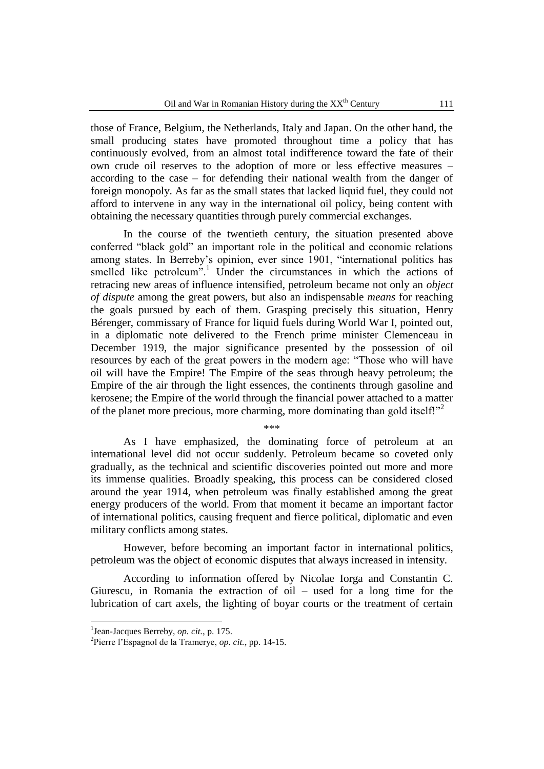those of France, Belgium, the Netherlands, Italy and Japan. On the other hand, the small producing states have promoted throughout time a policy that has continuously evolved, from an almost total indifference toward the fate of their own crude oil reserves to the adoption of more or less effective measures – according to the case – for defending their national wealth from the danger of foreign monopoly. As far as the small states that lacked liquid fuel, they could not afford to intervene in any way in the international oil policy, being content with obtaining the necessary quantities through purely commercial exchanges.

In the course of the twentieth century, the situation presented above conferred "black gold" an important role in the political and economic relations among states. In Berreby"s opinion, ever since 1901, "international politics has smelled like petroleum".<sup>1</sup> Under the circumstances in which the actions of retracing new areas of influence intensified, petroleum became not only an *object of dispute* among the great powers, but also an indispensable *means* for reaching the goals pursued by each of them. Grasping precisely this situation, Henry Bérenger, commissary of France for liquid fuels during World War I, pointed out, in a diplomatic note delivered to the French prime minister Clemenceau in December 1919, the major significance presented by the possession of oil resources by each of the great powers in the modern age: "Those who will have oil will have the Empire! The Empire of the seas through heavy petroleum; the Empire of the air through the light essences, the continents through gasoline and kerosene; the Empire of the world through the financial power attached to a matter of the planet more precious, more charming, more dominating than gold itself!"

As I have emphasized, the dominating force of petroleum at an international level did not occur suddenly. Petroleum became so coveted only gradually, as the technical and scientific discoveries pointed out more and more its immense qualities. Broadly speaking, this process can be considered closed around the year 1914, when petroleum was finally established among the great energy producers of the world. From that moment it became an important factor of international politics, causing frequent and fierce political, diplomatic and even military conflicts among states.

\*\*\*

However, before becoming an important factor in international politics, petroleum was the object of economic disputes that always increased in intensity.

According to information offered by Nicolae Iorga and Constantin C. Giurescu, in Romania the extraction of oil – used for a long time for the lubrication of cart axels, the lighting of boyar courts or the treatment of certain

<sup>1</sup> Jean-Jacques Berreby, *op. cit.*, p. 175.

<sup>2</sup> Pierre l"Espagnol de la Tramerye, *op. cit.*, pp. 14-15.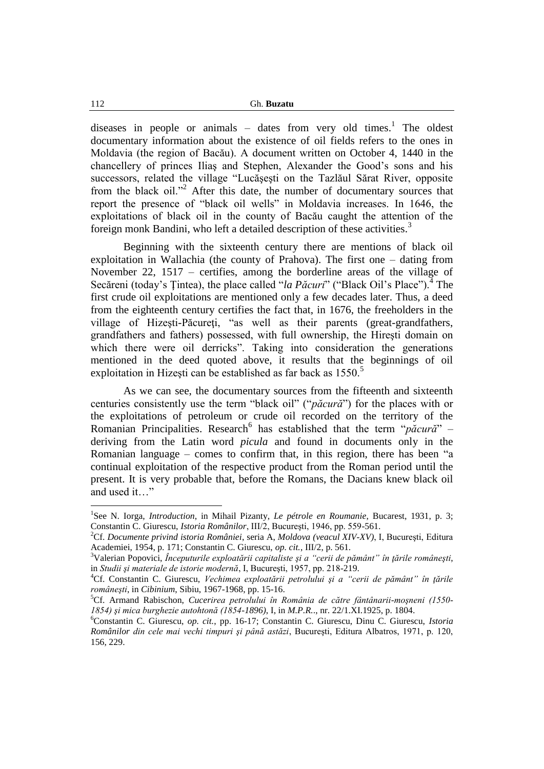diseases in people or animals  $-$  dates from very old times.<sup>1</sup> The oldest documentary information about the existence of oil fields refers to the ones in Moldavia (the region of Bacău). A document written on October 4, 1440 in the chancellery of princes Iliaş and Stephen, Alexander the Good"s sons and his successors, related the village "Lucăşeşti on the Tazlăul Sărat River, opposite from the black oil."<sup>2</sup> After this date, the number of documentary sources that report the presence of "black oil wells" in Moldavia increases. In 1646, the exploitations of black oil in the county of Bacău caught the attention of the foreign monk Bandini, who left a detailed description of these activities.<sup>3</sup>

Beginning with the sixteenth century there are mentions of black oil exploitation in Wallachia (the county of Prahova). The first one – dating from November 22, 1517 – certifies, among the borderline areas of the village of Secăreni (today's Țintea), the place called "*la Păcuri*" ("Black Oil's Place").<sup>4</sup> The first crude oil exploitations are mentioned only a few decades later. Thus, a deed from the eighteenth century certifies the fact that, in 1676, the freeholders in the village of Hizeşti-Păcureţi, "as well as their parents (great-grandfathers, grandfathers and fathers) possessed, with full ownership, the Hireşti domain on which there were oil derricks". Taking into consideration the generations mentioned in the deed quoted above, it results that the beginnings of oil exploitation in Hizesti can be established as far back as 1550.<sup>5</sup>

As we can see, the documentary sources from the fifteenth and sixteenth centuries consistently use the term "black oil" ("*păcură*") for the places with or the exploitations of petroleum or crude oil recorded on the territory of the Romanian Principalities. Research<sup>6</sup> has established that the term "*păcură*" – deriving from the Latin word *picula* and found in documents only in the Romanian language – comes to confirm that, in this region, there has been "a continual exploitation of the respective product from the Roman period until the present. It is very probable that, before the Romans, the Dacians knew black oil and used it…"

<sup>&</sup>lt;sup>1</sup>See N. Iorga, *Introduction*, in Mihail Pizanty, *Le pétrole en Roumanie*, Bucarest, 1931, p. 3; Constantin C. Giurescu, *Istoria Românilor*, III/2, Bucureşti, 1946, pp. 559-561.

<sup>2</sup>Cf. *Documente privind istoria României*, seria A, *Moldova (veacul XIV-XV)*, I, Bucureşti, Editura Academiei, 1954, p. 171; Constantin C. Giurescu, *op. cit.*, III/2, p. 561.

<sup>3</sup>Valerian Popovici, *Începuturile exploatării capitaliste şi a "cerii de pământ" în ţările româneşti*, in *Studii şi materiale de istorie modernă*, I, Bucureşti, 1957, pp. 218-219.

<sup>4</sup>Cf. Constantin C. Giurescu, *Vechimea exploatării petrolului şi a "cerii de pământ" în ţările româneşti*, in *Cibinium*, Sibiu, 1967-1968, pp. 15-16.

<sup>5</sup>Cf. Armand Rabischon, *Cucerirea petrolului în România de către fântânarii-moşneni (1550- 1854) şi mica burghezie autohtonă (1854-1896)*, I, in *M.P.R.*., nr. 22/1.XI.1925, p. 1804.

<sup>6</sup>Constantin C. Giurescu, *op. cit.*, pp. 16-17; Constantin C. Giurescu, Dinu C. Giurescu, *Istoria Românilor din cele mai vechi timpuri şi până astăzi*, Bucureşti, Editura Albatros, 1971, p. 120, 156, 229.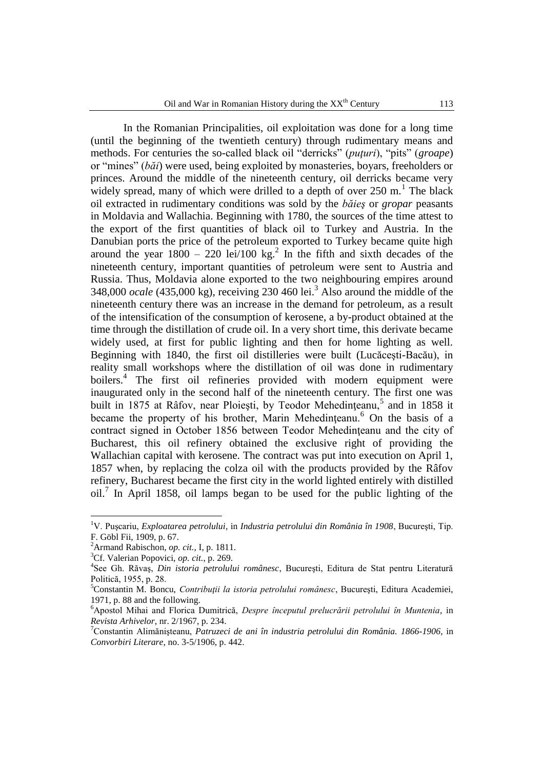In the Romanian Principalities, oil exploitation was done for a long time (until the beginning of the twentieth century) through rudimentary means and methods. For centuries the so-called black oil "derricks" (*puţuri*), "pits" (*groape*) or "mines" (*băi*) were used, being exploited by monasteries, boyars, freeholders or princes. Around the middle of the nineteenth century, oil derricks became very widely spread, many of which were drilled to a depth of over  $250 \text{ m}$ .<sup>1</sup> The black oil extracted in rudimentary conditions was sold by the *băieş* or *gropar* peasants in Moldavia and Wallachia. Beginning with 1780, the sources of the time attest to the export of the first quantities of black oil to Turkey and Austria. In the Danubian ports the price of the petroleum exported to Turkey became quite high around the year  $1800 - 220$  lei/100 kg.<sup>2</sup> In the fifth and sixth decades of the nineteenth century, important quantities of petroleum were sent to Austria and Russia. Thus, Moldavia alone exported to the two neighbouring empires around 348,000 *ocale* (435,000 kg), receiving 230 460 lei.<sup>3</sup> Also around the middle of the nineteenth century there was an increase in the demand for petroleum, as a result of the intensification of the consumption of kerosene, a by-product obtained at the time through the distillation of crude oil. In a very short time, this derivate became widely used, at first for public lighting and then for home lighting as well. Beginning with 1840, the first oil distilleries were built (Lucăceşti-Bacău), in reality small workshops where the distillation of oil was done in rudimentary boilers.<sup>4</sup> The first oil refineries provided with modern equipment were inaugurated only in the second half of the nineteenth century. The first one was built in 1875 at Râfov, near Ploiești, by Teodor Mehedințeanu,<sup>5</sup> and in 1858 it became the property of his brother, Marin Mehedinteanu.<sup>6</sup> On the basis of a contract signed in October 1856 between Teodor Mehedinteanu and the city of Bucharest, this oil refinery obtained the exclusive right of providing the Wallachian capital with kerosene. The contract was put into execution on April 1, 1857 when, by replacing the colza oil with the products provided by the Râfov refinery, Bucharest became the first city in the world lighted entirely with distilled oil.<sup>7</sup> In April 1858, oil lamps began to be used for the public lighting of the

<sup>1</sup>V. Puşcariu, *Exploatarea petrolului*, in *Industria petrolului din România în 1908*, Bucureşti, Tip. F. Göbl Fii, 1909, p. 67.

<sup>2</sup>Armand Rabischon, *op. cit.*, I, p. 1811.

<sup>3</sup>Cf. Valerian Popovici, *op. cit.*, p. 269.

<sup>4</sup> See Gh. Răvaş, *Din istoria petrolului românesc*, Bucureşti, Editura de Stat pentru Literatură Politică, 1955, p. 28.

<sup>5</sup>Constantin M. Boncu, *Contribuţii la istoria petrolului românesc*, Bucureşti, Editura Academiei, 1971, p. 88 and the following.

<sup>6</sup>Apostol Mihai and Florica Dumitrică, *Despre începutul prelucrării petrolului în Muntenia*, in *Revista Arhivelor*, nr. 2/1967, p. 234.

<sup>7</sup>Constantin Alimănişteanu, *Patruzeci de ani în industria petrolului din România. 1866-1906*, in *Convorbiri Literare*, no. 3-5/1906, p. 442.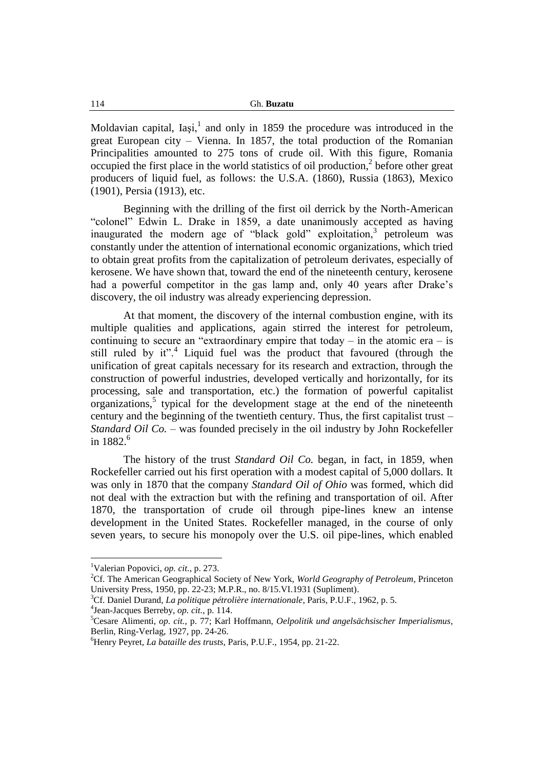Moldavian capital, Iași, $<sup>1</sup>$  and only in 1859 the procedure was introduced in the</sup> great European city – Vienna. In 1857, the total production of the Romanian Principalities amounted to 275 tons of crude oil. With this figure, Romania occupied the first place in the world statistics of oil production, $2$  before other great producers of liquid fuel, as follows: the U.S.A. (1860), Russia (1863), Mexico (1901), Persia (1913), etc.

Beginning with the drilling of the first oil derrick by the North-American "colonel" Edwin L. Drake in 1859, a date unanimously accepted as having inaugurated the modern age of "black gold" exploitation,<sup>3</sup> petroleum was constantly under the attention of international economic organizations, which tried to obtain great profits from the capitalization of petroleum derivates, especially of kerosene. We have shown that, toward the end of the nineteenth century, kerosene had a powerful competitor in the gas lamp and, only 40 years after Drake's discovery, the oil industry was already experiencing depression.

At that moment, the discovery of the internal combustion engine, with its multiple qualities and applications, again stirred the interest for petroleum, continuing to secure an "extraordinary empire that today – in the atomic era – is still ruled by it".<sup>4</sup> Liquid fuel was the product that favoured (through the unification of great capitals necessary for its research and extraction, through the construction of powerful industries, developed vertically and horizontally, for its processing, sale and transportation, etc.) the formation of powerful capitalist organizations,<sup>5</sup> typical for the development stage at the end of the nineteenth century and the beginning of the twentieth century. Thus, the first capitalist trust – *Standard Oil Co.* – was founded precisely in the oil industry by John Rockefeller in  $1882.^6$ 

The history of the trust *Standard Oil Co.* began, in fact, in 1859, when Rockefeller carried out his first operation with a modest capital of 5,000 dollars. It was only in 1870 that the company *Standard Oil of Ohio* was formed, which did not deal with the extraction but with the refining and transportation of oil. After 1870, the transportation of crude oil through pipe-lines knew an intense development in the United States. Rockefeller managed, in the course of only seven years, to secure his monopoly over the U.S. oil pipe-lines, which enabled

 $\overline{a}$ 

<sup>3</sup>Cf. Daniel Durand, *La politique pétrolière internationale*, Paris, P.U.F., 1962, p. 5.

<sup>1</sup>Valerian Popovici, *op. cit.*, p. 273.

<sup>2</sup>Cf. The American Geographical Society of New York, *World Geography of Petroleum*, Princeton University Press, 1950, pp. 22-23; M.P.R., no. 8/15.VI.1931 (Supliment).

<sup>4</sup> Jean-Jacques Berreby, *op. cit.*, p. 114.

<sup>5</sup>Cesare Alimenti, *op. cit.*, p. 77; Karl Hoffmann, *Oelpolitik und angelsächsischer Imperialismus*, Berlin, Ring-Verlag, 1927, pp. 24-26.

<sup>6</sup>Henry Peyret, *La bataille des trusts*, Paris, P.U.F., 1954, pp. 21-22.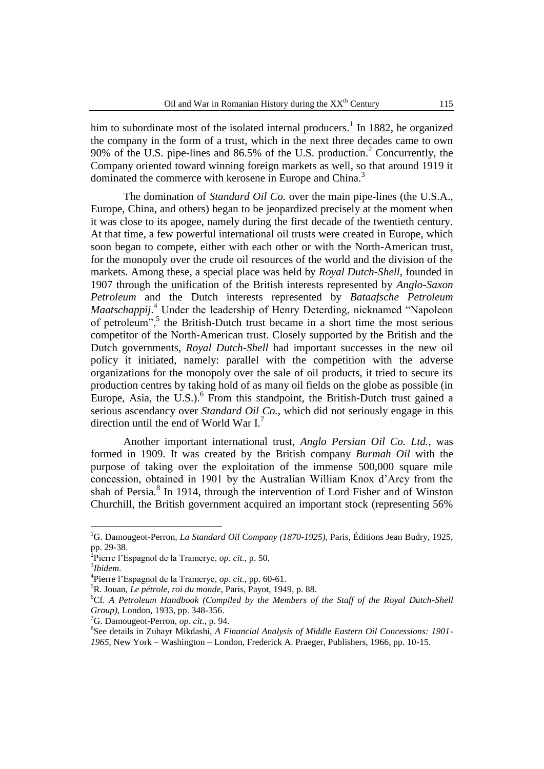him to subordinate most of the isolated internal producers.<sup>1</sup> In 1882, he organized the company in the form of a trust, which in the next three decades came to own 90% of the U.S. pipe-lines and 86.5% of the U.S. production.<sup>2</sup> Concurrently, the Company oriented toward winning foreign markets as well, so that around 1919 it dominated the commerce with kerosene in Europe and China.<sup>3</sup>

The domination of *Standard Oil Co.* over the main pipe-lines (the U.S.A., Europe, China, and others) began to be jeopardized precisely at the moment when it was close to its apogee, namely during the first decade of the twentieth century. At that time, a few powerful international oil trusts were created in Europe, which soon began to compete, either with each other or with the North-American trust, for the monopoly over the crude oil resources of the world and the division of the markets. Among these, a special place was held by *Royal Dutch-Shell*, founded in 1907 through the unification of the British interests represented by *Anglo-Saxon Petroleum* and the Dutch interests represented by *Bataafsche Petroleum Maatschappij*. <sup>4</sup> Under the leadership of Henry Deterding, nicknamed "Napoleon of petroleum",<sup>5</sup> the British-Dutch trust became in a short time the most serious competitor of the North-American trust. Closely supported by the British and the Dutch governments, *Royal Dutch-Shell* had important successes in the new oil policy it initiated, namely: parallel with the competition with the adverse organizations for the monopoly over the sale of oil products, it tried to secure its production centres by taking hold of as many oil fields on the globe as possible (in Europe, Asia, the U.S.).<sup>6</sup> From this standpoint, the British-Dutch trust gained a serious ascendancy over *Standard Oil Co.*, which did not seriously engage in this direction until the end of World War I. $'$ 

Another important international trust, *Anglo Persian Oil Co. Ltd.*, was formed in 1909. It was created by the British company *Burmah Oil* with the purpose of taking over the exploitation of the immense 500,000 square mile concession, obtained in 1901 by the Australian William Knox d"Arcy from the shah of Persia.<sup>8</sup> In 1914, through the intervention of Lord Fisher and of Winston Churchill, the British government acquired an important stock (representing 56%

<sup>1</sup>G. Damougeot-Perron, *La Standard Oil Company (1870-1925)*, Paris, Éditions Jean Budry, 1925, pp. 29-38. 2 Pierre l"Espagnol de la Tramerye, *op. cit.*, p. 50.

<sup>3</sup> *Ibidem*.

<sup>4</sup> Pierre l"Espagnol de la Tramerye, *op. cit.*, pp. 60-61.

<sup>5</sup>R. Jouan, *Le pétrole, roi du monde*, Paris, Payot, 1949, p. 88.

<sup>6</sup>Cf. *A Petroleum Handbook (Compiled by the Members of the Staff of the Royal Dutch-Shell Group)*, London, 1933, pp. 348-356.

<sup>7</sup>G. Damougeot-Perron, *op. cit.*, p. 94.

<sup>8</sup> See details in Zuhayr Mikdashi, *A Financial Analysis of Middle Eastern Oil Concessions: 1901- 1965*, New York – Washington – London, Frederick A. Praeger, Publishers, 1966, pp. 10-15.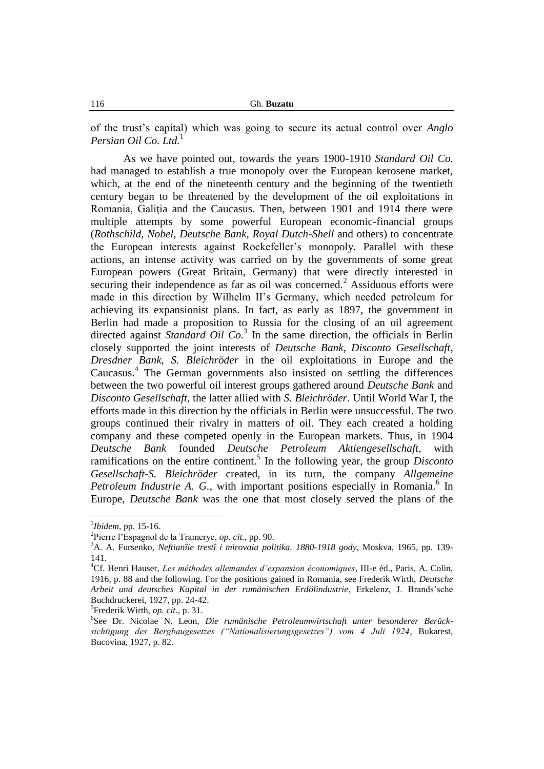of the trust"s capital) which was going to secure its actual control over *Anglo Persian Oil Co. Ltd.*<sup>1</sup>

As we have pointed out, towards the years 1900-1910 *Standard Oil Co.* had managed to establish a true monopoly over the European kerosene market, which, at the end of the nineteenth century and the beginning of the twentieth century began to be threatened by the development of the oil exploitations in Romania, Galiţia and the Caucasus. Then, between 1901 and 1914 there were multiple attempts by some powerful European economic-financial groups (*Rothschild*, *Nobel*, *Deutsche Bank*, *Royal Dutch-Shell* and others) to concentrate the European interests against Rockefeller"s monopoly. Parallel with these actions, an intense activity was carried on by the governments of some great European powers (Great Britain, Germany) that were directly interested in securing their independence as far as oil was concerned.<sup>2</sup> Assiduous efforts were made in this direction by Wilhelm II"s Germany, which needed petroleum for achieving its expansionist plans. In fact, as early as 1897, the government in Berlin had made a proposition to Russia for the closing of an oil agreement directed against *Standard Oil Co.*<sup>3</sup> In the same direction, the officials in Berlin closely supported the joint interests of *Deutsche Bank*, *Disconto Gesellschaft*, *Dresdner Bank*, *S. Bleichröder* in the oil exploitations in Europe and the Caucasus.<sup>4</sup> The German governments also insisted on settling the differences between the two powerful oil interest groups gathered around *Deutsche Bank* and *Disconto Gesellschaft*, the latter allied with *S. Bleichröder*. Until World War I, the efforts made in this direction by the officials in Berlin were unsuccessful. The two groups continued their rivalry in matters of oil. They each created a holding company and these competed openly in the European markets. Thus, in 1904 *Deutsche Bank* founded *Deutsche Petroleum Aktiengesellschaft*, with ramifications on the entire continent.<sup>5</sup> In the following year, the group *Disconto Gesellschaft-S. Bleichröder* created, in its turn, the company *Allgemeine*  Petroleum Industrie A. G., with important positions especially in Romania.<sup>6</sup> In Europe, *Deutsche Bank* was the one that most closely served the plans of the

<sup>1</sup> *Ibidem*, pp. 15-16.

<sup>2</sup> Pierre l"Espagnol de la Tramerye, *op. cit.*, pp. 90.

<sup>3</sup>A. A. Fursenko, *Neftianîie trestî i mirovaia politika. 1880-1918 gody*, Moskva, 1965, pp. 139- 141.

<sup>4</sup>Cf. Henri Hauser, *Les méthodes allemandes d'expansion économiques*, III-e éd., Paris, A. Colin, 1916, p. 88 and the following. For the positions gained in Romania, see Frederik Wirth, *Deutsche Arbeit und deutsches Kapital in der rumänischen Erdölindustrie*, Erkelenz, J. Brands"sche Buchdruckerei, 1927, pp. 24-42.

<sup>5</sup> Frederik Wirth, *op. cit.*, p. 31.

<sup>6</sup> See Dr. Nicolae N. Leon, *Die rumänische Petroleumwirtschaft unter besonderer Berücksichtigung des Bergbaugesetzes ("Nationalisierungsgesetzes") vom 4 Juli 1924*, Bukarest, Bucovina, 1927, p. 82.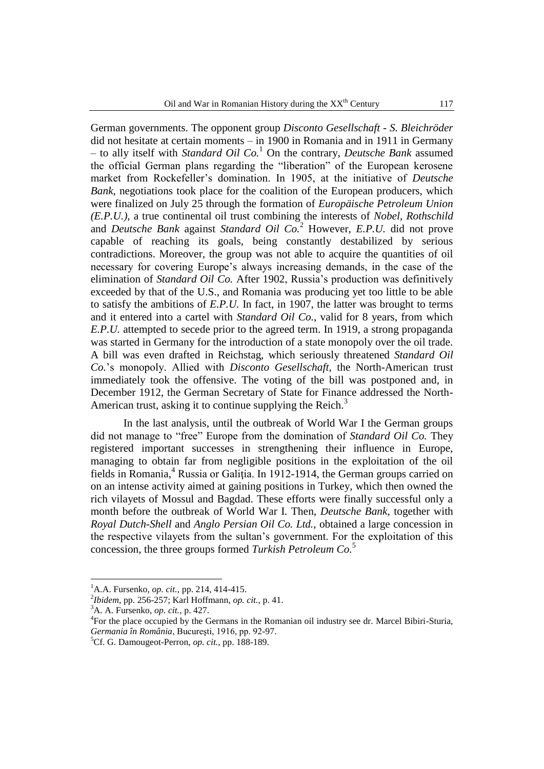German governments. The opponent group *Disconto Gesellschaft - S. Bleichröder* did not hesitate at certain moments – in 1900 in Romania and in 1911 in Germany – to ally itself with *Standard Oil Co.*<sup>1</sup> On the contrary, *Deutsche Bank* assumed the official German plans regarding the "liberation" of the European kerosene market from Rockefeller"s domination. In 1905, at the initiative of *Deutsche Bank*, negotiations took place for the coalition of the European producers, which were finalized on July 25 through the formation of *Europäische Petroleum Union (E.P.U.)*, a true continental oil trust combining the interests of *Nobel*, *Rothschild* and *Deutsche Bank* against *Standard Oil Co.*<sup>2</sup> However, *E.P.U.* did not prove capable of reaching its goals, being constantly destabilized by serious contradictions. Moreover, the group was not able to acquire the quantities of oil necessary for covering Europe"s always increasing demands, in the case of the elimination of *Standard Oil Co.* After 1902, Russia"s production was definitively exceeded by that of the U.S., and Romania was producing yet too little to be able to satisfy the ambitions of *E.P.U.* In fact, in 1907, the latter was brought to terms and it entered into a cartel with *Standard Oil Co.*, valid for 8 years, from which *E.P.U.* attempted to secede prior to the agreed term. In 1919, a strong propaganda was started in Germany for the introduction of a state monopoly over the oil trade. A bill was even drafted in Reichstag, which seriously threatened *Standard Oil Co.*"s monopoly. Allied with *Disconto Gesellschaft*, the North-American trust immediately took the offensive. The voting of the bill was postponed and, in December 1912, the German Secretary of State for Finance addressed the North-American trust, asking it to continue supplying the Reich.<sup>3</sup>

In the last analysis, until the outbreak of World War I the German groups did not manage to "free" Europe from the domination of *Standard Oil Co.* They registered important successes in strengthening their influence in Europe, managing to obtain far from negligible positions in the exploitation of the oil fields in Romania,<sup>4</sup> Russia or Galiția. In 1912-1914, the German groups carried on on an intense activity aimed at gaining positions in Turkey, which then owned the rich vilayets of Mossul and Bagdad. These efforts were finally successful only a month before the outbreak of World War I. Then, *Deutsche Bank*, together with *Royal Dutch-Shell* and *Anglo Persian Oil Co. Ltd.*, obtained a large concession in the respective vilayets from the sultan"s government. For the exploitation of this concession, the three groups formed *Turkish Petroleum Co.*<sup>5</sup>

<sup>1</sup>A.A. Fursenko, *op. cit.*, pp. 214, 414-415.

<sup>2</sup> *Ibidem*, pp. 256-257; Karl Hoffmann, *op. cit.*, p. 41.

<sup>3</sup>A. A. Fursenko, *op. cit.*, p. 427.

<sup>&</sup>lt;sup>4</sup>For the place occupied by the Germans in the Romanian oil industry see dr. Marcel Bibiri-Sturia, *Germania în România*, Bucureşti, 1916, pp. 92-97.

<sup>5</sup>Cf. G. Damougeot-Perron, *op. cit.*, pp. 188-189.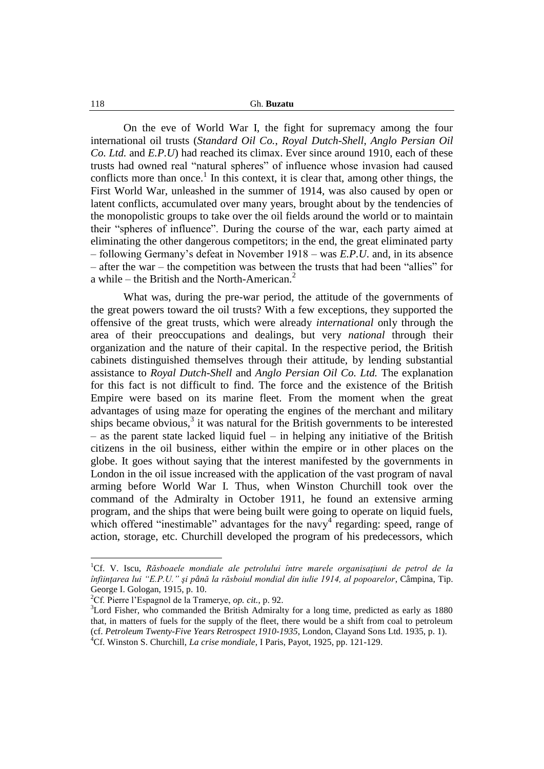## 118 Gh. **Buzatu**

On the eve of World War I, the fight for supremacy among the four international oil trusts (*Standard Oil Co.*, *Royal Dutch-Shell*, *Anglo Persian Oil Co. Ltd.* and *E.P.U*) had reached its climax. Ever since around 1910, each of these trusts had owned real "natural spheres" of influence whose invasion had caused conflicts more than once.<sup>1</sup> In this context, it is clear that, among other things, the First World War, unleashed in the summer of 1914, was also caused by open or latent conflicts, accumulated over many years, brought about by the tendencies of the monopolistic groups to take over the oil fields around the world or to maintain their "spheres of influence". During the course of the war, each party aimed at eliminating the other dangerous competitors; in the end, the great eliminated party – following Germany"s defeat in November 1918 – was *E.P.U*. and, in its absence – after the war – the competition was between the trusts that had been "allies" for a while – the British and the North-American. $<sup>2</sup>$ </sup>

What was, during the pre-war period, the attitude of the governments of the great powers toward the oil trusts? With a few exceptions, they supported the offensive of the great trusts, which were already *international* only through the area of their preoccupations and dealings, but very *national* through their organization and the nature of their capital. In the respective period, the British cabinets distinguished themselves through their attitude, by lending substantial assistance to *Royal Dutch-Shell* and *Anglo Persian Oil Co. Ltd.* The explanation for this fact is not difficult to find. The force and the existence of the British Empire were based on its marine fleet. From the moment when the great advantages of using maze for operating the engines of the merchant and military ships became obvious, $3$  it was natural for the British governments to be interested – as the parent state lacked liquid fuel – in helping any initiative of the British citizens in the oil business, either within the empire or in other places on the globe. It goes without saying that the interest manifested by the governments in London in the oil issue increased with the application of the vast program of naval arming before World War I. Thus, when Winston Churchill took over the command of the Admiralty in October 1911, he found an extensive arming program, and the ships that were being built were going to operate on liquid fuels, which offered "inestimable" advantages for the navy<sup>4</sup> regarding: speed, range of action, storage, etc. Churchill developed the program of his predecessors, which

<sup>&</sup>lt;sup>1</sup>Cf. V. Iscu, *Răsboaele mondiale ale petrolului între marele organisațiuni de petrol de la înfiinţarea lui "E.P.U." şi până la răsboiul mondial din iulie 1914, al popoarelor*, Câmpina, Tip. George I. Gologan, 1915, p. 10.

<sup>2</sup>Cf. Pierre l"Espagnol de la Tramerye, *op. cit.*, p. 92.

<sup>&</sup>lt;sup>3</sup>Lord Fisher, who commanded the British Admiralty for a long time, predicted as early as 1880 that, in matters of fuels for the supply of the fleet, there would be a shift from coal to petroleum (cf. *Petroleum Twenty-Five Years Retrospect 1910-1935*, London, Clayand Sons Ltd. 1935, p. 1). <sup>4</sup>Cf. Winston S. Churchill, *La crise mondiale*, I Paris, Payot, 1925, pp. 121-129.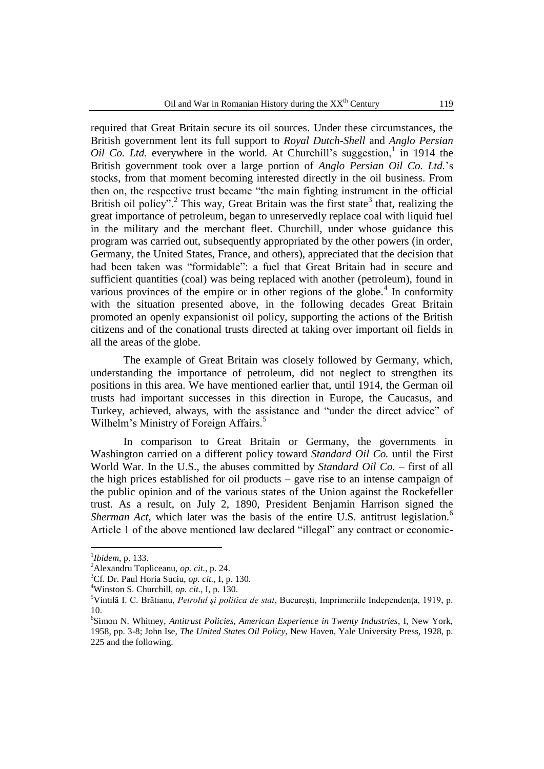required that Great Britain secure its oil sources. Under these circumstances, the British government lent its full support to *Royal Dutch-Shell* and *Anglo Persian Oil Co. Ltd.* everywhere in the world. At Churchill's suggestion,<sup>1</sup> in 1914 the British government took over a large portion of *Anglo Persian Oil Co. Ltd.*"s stocks, from that moment becoming interested directly in the oil business. From then on, the respective trust became "the main fighting instrument in the official British oil policy".<sup>2</sup> This way, Great Britain was the first state<sup>3</sup> that, realizing the great importance of petroleum, began to unreservedly replace coal with liquid fuel in the military and the merchant fleet. Churchill, under whose guidance this program was carried out, subsequently appropriated by the other powers (in order, Germany, the United States, France, and others), appreciated that the decision that had been taken was "formidable": a fuel that Great Britain had in secure and sufficient quantities (coal) was being replaced with another (petroleum), found in various provinces of the empire or in other regions of the globe. $4$  In conformity with the situation presented above, in the following decades Great Britain promoted an openly expansionist oil policy, supporting the actions of the British citizens and of the conational trusts directed at taking over important oil fields in all the areas of the globe.

The example of Great Britain was closely followed by Germany, which, understanding the importance of petroleum, did not neglect to strengthen its positions in this area. We have mentioned earlier that, until 1914, the German oil trusts had important successes in this direction in Europe, the Caucasus, and Turkey, achieved, always, with the assistance and "under the direct advice" of Wilhelm's Ministry of Foreign Affairs.<sup>5</sup>

In comparison to Great Britain or Germany, the governments in Washington carried on a different policy toward *Standard Oil Co.* until the First World War. In the U.S., the abuses committed by *Standard Oil Co.* – first of all the high prices established for oil products – gave rise to an intense campaign of the public opinion and of the various states of the Union against the Rockefeller trust. As a result, on July 2, 1890, President Benjamin Harrison signed the *Sherman Act*, which later was the basis of the entire U.S. antitrust legislation.<sup>6</sup> Article 1 of the above mentioned law declared "illegal" any contract or economic-

<sup>1</sup> *Ibidem*, p. 133.

<sup>2</sup>Alexandru Topliceanu, *op. cit.*, p. 24.

<sup>3</sup>Cf. Dr. Paul Horia Suciu, *op. cit.*, I, p. 130.

<sup>4</sup>Winston S. Churchill, *op. cit.*, I, p. 130.

<sup>5</sup>Vintilă I. C. Brătianu, *Petrolul şi politica de stat*, Bucureşti, Imprimeriile Independenţa, 1919, p. 10.

<sup>6</sup> Simon N. Whitney, *Antitrust Policies, American Experience in Twenty Industries*, I, New York, 1958, pp. 3-8; John Ise, *The United States Oil Policy*, New Haven, Yale University Press, 1928, p. 225 and the following.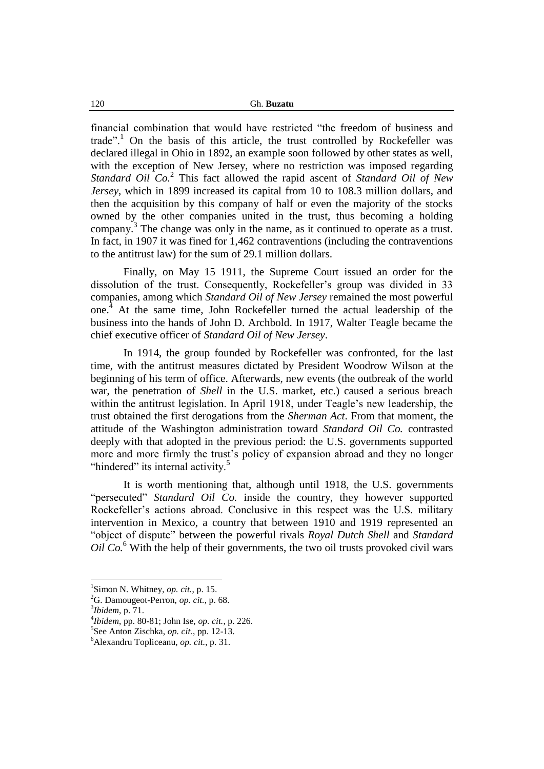financial combination that would have restricted "the freedom of business and trade".<sup>1</sup> On the basis of this article, the trust controlled by Rockefeller was declared illegal in Ohio in 1892, an example soon followed by other states as well, with the exception of New Jersey, where no restriction was imposed regarding *Standard Oil Co.*<sup>2</sup> This fact allowed the rapid ascent of *Standard Oil of New Jersey*, which in 1899 increased its capital from 10 to 108.3 million dollars, and then the acquisition by this company of half or even the majority of the stocks owned by the other companies united in the trust, thus becoming a holding company.<sup>3</sup> The change was only in the name, as it continued to operate as a trust. In fact, in 1907 it was fined for 1,462 contraventions (including the contraventions to the antitrust law) for the sum of 29.1 million dollars.

Finally, on May 15 1911, the Supreme Court issued an order for the dissolution of the trust. Consequently, Rockefeller's group was divided in 33 companies, among which *Standard Oil of New Jersey* remained the most powerful one.<sup>4</sup> At the same time, John Rockefeller turned the actual leadership of the business into the hands of John D. Archbold. In 1917, Walter Teagle became the chief executive officer of *Standard Oil of New Jersey*.

In 1914, the group founded by Rockefeller was confronted, for the last time, with the antitrust measures dictated by President Woodrow Wilson at the beginning of his term of office. Afterwards, new events (the outbreak of the world war, the penetration of *Shell* in the U.S. market, etc.) caused a serious breach within the antitrust legislation. In April 1918, under Teagle's new leadership, the trust obtained the first derogations from the *Sherman Act*. From that moment, the attitude of the Washington administration toward *Standard Oil Co.* contrasted deeply with that adopted in the previous period: the U.S. governments supported more and more firmly the trust's policy of expansion abroad and they no longer "hindered" its internal activity.<sup>5</sup>

It is worth mentioning that, although until 1918, the U.S. governments "persecuted" *Standard Oil Co.* inside the country, they however supported Rockefeller's actions abroad. Conclusive in this respect was the U.S. military intervention in Mexico, a country that between 1910 and 1919 represented an "object of dispute" between the powerful rivals *Royal Dutch Shell* and *Standard Oil Co.*<sup>6</sup> With the help of their governments, the two oil trusts provoked civil wars

<sup>1</sup> Simon N. Whitney, *op. cit.*, p. 15.

<sup>2</sup>G. Damougeot-Perron, *op. cit.*, p. 68.

<sup>3</sup> *Ibidem*, p. 71.

<sup>4</sup> *Ibidem*, pp. 80-81; John Ise, *op. cit.*, p. 226.

<sup>5</sup> See Anton Zischka, *op. cit.*, pp. 12-13.

<sup>6</sup>Alexandru Topliceanu, *op. cit.*, p. 31.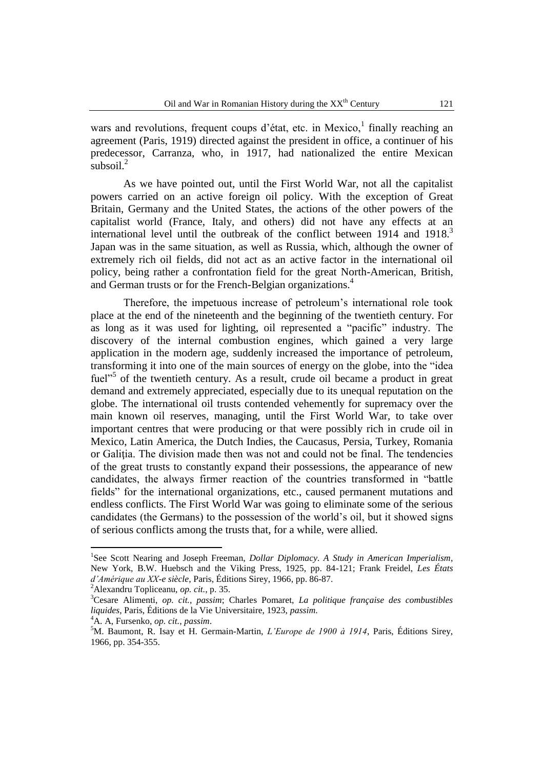wars and revolutions, frequent coups d'état, etc. in Mexico,<sup>1</sup> finally reaching an agreement (Paris, 1919) directed against the president in office, a continuer of his predecessor, Carranza, who, in 1917, had nationalized the entire Mexican subsoil. $^{2}$ 

As we have pointed out, until the First World War, not all the capitalist powers carried on an active foreign oil policy. With the exception of Great Britain, Germany and the United States, the actions of the other powers of the capitalist world (France, Italy, and others) did not have any effects at an international level until the outbreak of the conflict between  $1914$  and  $1918$ .<sup>3</sup> Japan was in the same situation, as well as Russia, which, although the owner of extremely rich oil fields, did not act as an active factor in the international oil policy, being rather a confrontation field for the great North-American, British, and German trusts or for the French-Belgian organizations.<sup>4</sup>

Therefore, the impetuous increase of petroleum"s international role took place at the end of the nineteenth and the beginning of the twentieth century. For as long as it was used for lighting, oil represented a "pacific" industry. The discovery of the internal combustion engines, which gained a very large application in the modern age, suddenly increased the importance of petroleum, transforming it into one of the main sources of energy on the globe, into the "idea fuel"<sup>5</sup> of the twentieth century. As a result, crude oil became a product in great demand and extremely appreciated, especially due to its unequal reputation on the globe. The international oil trusts contended vehemently for supremacy over the main known oil reserves, managing, until the First World War, to take over important centres that were producing or that were possibly rich in crude oil in Mexico, Latin America, the Dutch Indies, the Caucasus, Persia, Turkey, Romania or Galiţia. The division made then was not and could not be final. The tendencies of the great trusts to constantly expand their possessions, the appearance of new candidates, the always firmer reaction of the countries transformed in "battle fields" for the international organizations, etc., caused permanent mutations and endless conflicts. The First World War was going to eliminate some of the serious candidates (the Germans) to the possession of the world"s oil, but it showed signs of serious conflicts among the trusts that, for a while, were allied.

 1 See Scott Nearing and Joseph Freeman, *Dollar Diplomacy. A Study in American Imperialism*, New York, B.W. Huebsch and the Viking Press, 1925, pp. 84-121; Frank Freidel, *Les États d'Amérique au XX-e siècle*, Paris, Éditions Sirey, 1966, pp. 86-87.

<sup>2</sup>Alexandru Topliceanu, *op. cit.*, p. 35.

<sup>3</sup>Cesare Alimenti, *op. cit., passim*; Charles Pomaret, *La politique française des combustibles liquides*, Paris, Éditions de la Vie Universitaire, 1923, *passim*.

<sup>4</sup>A. A, Fursenko, *op. cit.*, *passim*.

<sup>5</sup>M. Baumont, R. Isay et H. Germain-Martin, *L'Europe de 1900 à 1914*, Paris, Éditions Sirey, 1966, pp. 354-355.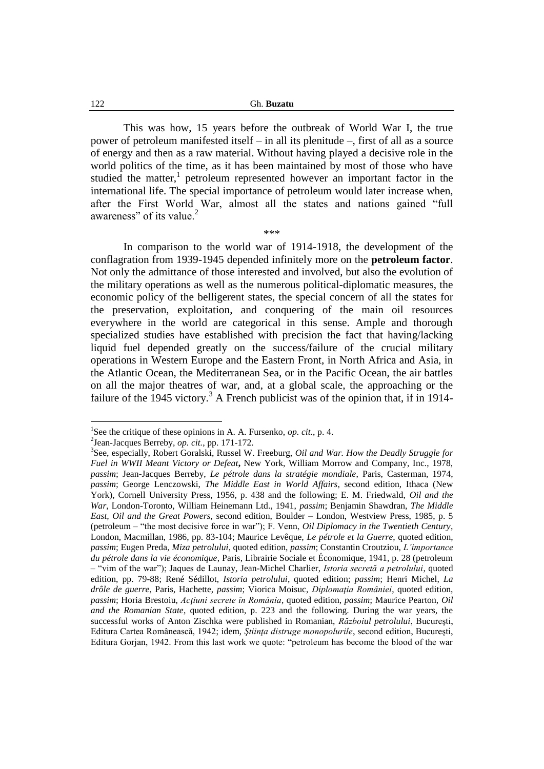This was how, 15 years before the outbreak of World War I, the true power of petroleum manifested itself – in all its plenitude –, first of all as a source of energy and then as a raw material. Without having played a decisive role in the world politics of the time, as it has been maintained by most of those who have studied the matter,<sup>1</sup> petroleum represented however an important factor in the international life. The special importance of petroleum would later increase when, after the First World War, almost all the states and nations gained "full awareness" of its value.<sup>2</sup>

\*\*\*

In comparison to the world war of 1914-1918, the development of the conflagration from 1939-1945 depended infinitely more on the **petroleum factor**. Not only the admittance of those interested and involved, but also the evolution of the military operations as well as the numerous political-diplomatic measures, the economic policy of the belligerent states, the special concern of all the states for the preservation, exploitation, and conquering of the main oil resources everywhere in the world are categorical in this sense. Ample and thorough specialized studies have established with precision the fact that having/lacking liquid fuel depended greatly on the success/failure of the crucial military operations in Western Europe and the Eastern Front, in North Africa and Asia, in the Atlantic Ocean, the Mediterranean Sea, or in the Pacific Ocean, the air battles on all the major theatres of war, and, at a global scale, the approaching or the failure of the 1945 victory.<sup>3</sup> A French publicist was of the opinion that, if in 1914-

<sup>&</sup>lt;sup>1</sup>See the critique of these opinions in A. A. Fursenko, *op. cit.*, p. 4.

<sup>2</sup> Jean-Jacques Berreby, *op. cit.*, pp. 171-172.

<sup>3</sup> See, especially, Robert Goralski, Russel W. Freeburg, *Oil and War. How the Deadly Struggle for Fuel in WWII Meant Victory or Defeat***,** New York, William Morrow and Company, Inc., 1978, *passim*; Jean-Jacques Berreby, *Le pétrole dans la stratégie mondiale*, Paris, Casterman, 1974, *passim*; George Lenczowski, *The Middle East in World Affairs*, second edition, Ithaca (New York), Cornell University Press, 1956, p. 438 and the following; E. M. Friedwald, *Oil and the War*, London-Toronto, William Heinemann Ltd., 1941, *passim*; Benjamin Shawdran, *The Middle East, Oil and the Great Powers*, second edition, Boulder – London, Westview Press, 1985, p. 5 (petroleum – "the most decisive force in war"); F. Venn, *Oil Diplomacy in the Twentieth Century*, London, Macmillan, 1986, pp. 83-104; Maurice Levêque, *Le pétrole et la Guerre*, quoted edition, *passim*; Eugen Preda, *Miza petrolului*, quoted edition, *passim*; Constantin Croutziou, *L'importance du pétrole dans la vie économique*, Paris, Librairie Sociale et Économique, 1941, p. 28 (petroleum – "vim of the war"); Jaques de Launay, Jean-Michel Charlier, *Istoria secretă a petrolului*, quoted edition, pp. 79-88; René Sédillot, *Istoria petrolului*, quoted edition; *passim*; Henri Michel, *La drôle de guerre*, Paris, Hachette, *passim*; Viorica Moisuc, *Diplomaţia României*, quoted edition, *passim*; Horia Brestoiu, *Acţiuni secrete în România*, quoted edition, *passim*; Maurice Pearton, *Oil and the Romanian State*, quoted edition, p. 223 and the following. During the war years, the successful works of Anton Zischka were published in Romanian, *Războiul petrolului*, Bucureşti, Editura Cartea Românească, 1942; idem, *Ştiinţa distruge monopolurile*, second edition, Bucureşti, Editura Gorjan, 1942. From this last work we quote: "petroleum has become the blood of the war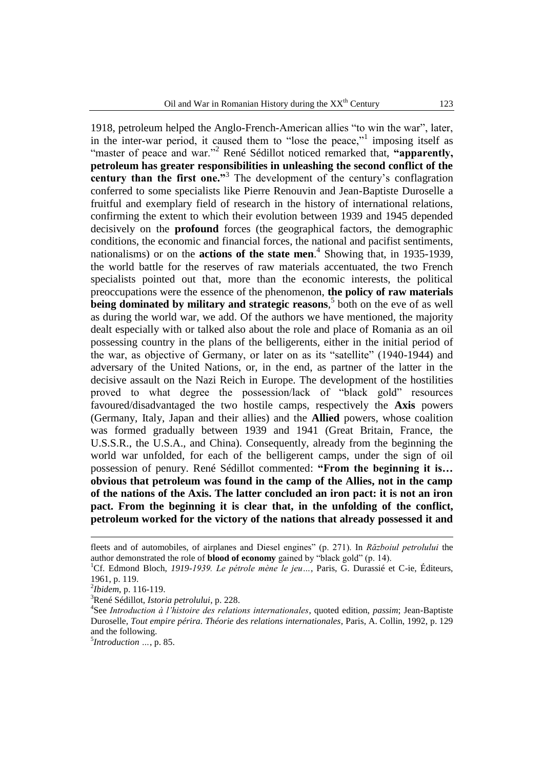1918, petroleum helped the Anglo-French-American allies "to win the war", later, in the inter-war period, it caused them to "lose the peace,"<sup>1</sup> imposing itself as "master of peace and war."<sup>2</sup> René Sédillot noticed remarked that, **"apparently, petroleum has greater responsibilities in unleashing the second conflict of the**  century than the first one."<sup>3</sup> The development of the century's conflagration conferred to some specialists like Pierre Renouvin and Jean-Baptiste Duroselle a fruitful and exemplary field of research in the history of international relations, confirming the extent to which their evolution between 1939 and 1945 depended decisively on the **profound** forces (the geographical factors, the demographic conditions, the economic and financial forces, the national and pacifist sentiments, nationalisms) or on the **actions of the state men**. 4 Showing that, in 1935-1939, the world battle for the reserves of raw materials accentuated, the two French specialists pointed out that, more than the economic interests, the political preoccupations were the essence of the phenomenon, **the policy of raw materials being dominated by military and strategic reasons**,<sup>5</sup> both on the eve of as well as during the world war, we add. Of the authors we have mentioned, the majority dealt especially with or talked also about the role and place of Romania as an oil possessing country in the plans of the belligerents, either in the initial period of the war, as objective of Germany, or later on as its "satellite" (1940-1944) and adversary of the United Nations, or, in the end, as partner of the latter in the decisive assault on the Nazi Reich in Europe. The development of the hostilities proved to what degree the possession/lack of "black gold" resources favoured/disadvantaged the two hostile camps, respectively the **Axis** powers (Germany, Italy, Japan and their allies) and the **Allied** powers, whose coalition was formed gradually between 1939 and 1941 (Great Britain, France, the U.S.S.R., the U.S.A., and China). Consequently, already from the beginning the world war unfolded, for each of the belligerent camps, under the sign of oil possession of penury. René Sédillot commented: **"From the beginning it is… obvious that petroleum was found in the camp of the Allies, not in the camp of the nations of the Axis. The latter concluded an iron pact: it is not an iron pact. From the beginning it is clear that, in the unfolding of the conflict, petroleum worked for the victory of the nations that already possessed it and** 

<u>.</u>

5 *Introduction …*, p. 85.

fleets and of automobiles, of airplanes and Diesel engines" (p. 271). In *Războiul petrolului* the author demonstrated the role of **blood of economy** gained by "black gold" (p. 14).

<sup>&</sup>lt;sup>1</sup>Cf. Edmond Bloch, 1919-1939. Le pétrole mène le jeu..., Paris, G. Durassié et C-ie, Éditeurs, 1961, p. 119.

<sup>2</sup> *Ibidem*, p. 116-119.

<sup>3</sup>René Sédillot, *Istoria petrolului*, p. 228.

<sup>4</sup> See *Introduction à l'histoire des relations internationales*, quoted edition, *passim*; Jean-Baptiste Duroselle, *Tout empire périra. Théorie des relations internationales*, Paris, A. Collin, 1992, p. 129 and the following.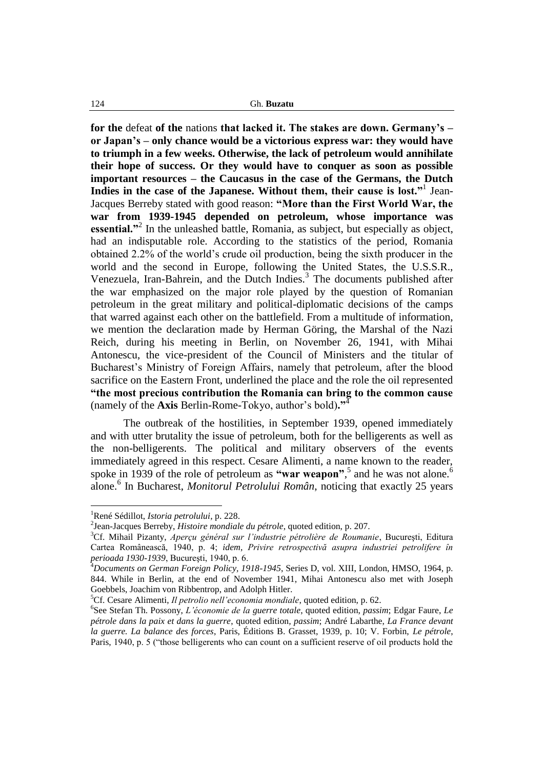**for the** defeat **of the** nations **that lacked it. The stakes are down. Germany's – or Japan's – only chance would be a victorious express war: they would have to triumph in a few weeks. Otherwise, the lack of petroleum would annihilate their hope of success. Or they would have to conquer as soon as possible important resources – the Caucasus in the case of the Germans, the Dutch Indies in the case of the Japanese. Without them, their cause is lost."**<sup>1</sup> Jean-Jacques Berreby stated with good reason: **"More than the First World War, the war from 1939-1945 depended on petroleum, whose importance was**  essential."<sup>2</sup> In the unleashed battle, Romania, as subject, but especially as object, had an indisputable role. According to the statistics of the period, Romania obtained 2.2% of the world"s crude oil production, being the sixth producer in the world and the second in Europe, following the United States, the U.S.S.R., Venezuela, Iran-Bahrein, and the Dutch Indies.<sup>3</sup> The documents published after the war emphasized on the major role played by the question of Romanian petroleum in the great military and political-diplomatic decisions of the camps that warred against each other on the battlefield. From a multitude of information, we mention the declaration made by Herman Göring, the Marshal of the Nazi Reich, during his meeting in Berlin, on November 26, 1941, with Mihai Antonescu, the vice-president of the Council of Ministers and the titular of Bucharest"s Ministry of Foreign Affairs, namely that petroleum, after the blood sacrifice on the Eastern Front, underlined the place and the role the oil represented **"the most precious contribution the Romania can bring to the common cause** (namely of the **Axis** Berlin-Rome-Tokyo, author's bold)."

The outbreak of the hostilities, in September 1939, opened immediately and with utter brutality the issue of petroleum, both for the belligerents as well as the non-belligerents. The political and military observers of the events immediately agreed in this respect. Cesare Alimenti, a name known to the reader, spoke in 1939 of the role of petroleum as "war weapon",<sup>5</sup> and he was not alone.<sup>6</sup> alone.<sup>6</sup> In Bucharest, *Monitorul Petrolului Român*, noticing that exactly 25 years

<sup>1</sup>René Sédillot, *Istoria petrolului*, p. 228.

<sup>2</sup> Jean-Jacques Berreby, *Histoire mondiale du pétrole*, quoted edition, p. 207.

<sup>3</sup>Cf. Mihail Pizanty, *Aperçu général sur l'industrie pétrolière de Roumanie*, Bucureşti, Editura Cartea Românească, 1940, p. 4; *idem*, *Privire retrospectivă asupra industriei petrolifere în perioada 1930-1939*, Bucureşti, 1940, p. 6.

<sup>4</sup>*Documents on German Foreign Policy, 1918-1945*, Series D, vol. XIII, London, HMSO, 1964, p. 844. While in Berlin, at the end of November 1941, Mihai Antonescu also met with Joseph Goebbels, Joachim von Ribbentrop, and Adolph Hitler.

<sup>5</sup>Cf. Cesare Alimenti, *Il petrolio nell'economia mondiale*, quoted edition, p. 62.

<sup>6</sup> See Stefan Th. Possony, *L'économie de la guerre totale*, quoted edition, *passim*; Edgar Faure, *Le pétrole dans la paix et dans la guerre*, quoted edition*, passim*; André Labarthe, *La France devant la guerre. La balance des forces*, Paris, Éditions B. Grasset, 1939, p. 10; V. Forbin, *Le pétrole*, Paris, 1940, p. 5 ("those belligerents who can count on a sufficient reserve of oil products hold the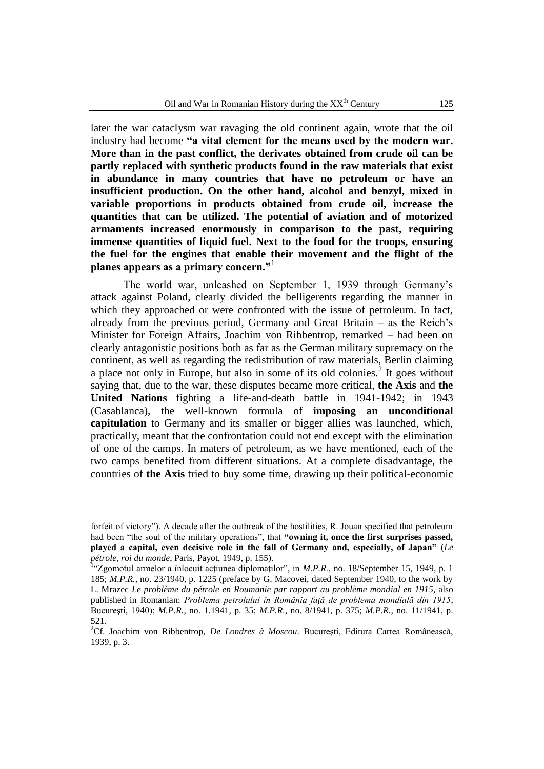later the war cataclysm war ravaging the old continent again, wrote that the oil industry had become **"a vital element for the means used by the modern war. More than in the past conflict, the derivates obtained from crude oil can be partly replaced with synthetic products found in the raw materials that exist in abundance in many countries that have no petroleum or have an insufficient production. On the other hand, alcohol and benzyl, mixed in variable proportions in products obtained from crude oil, increase the quantities that can be utilized. The potential of aviation and of motorized armaments increased enormously in comparison to the past, requiring immense quantities of liquid fuel. Next to the food for the troops, ensuring the fuel for the engines that enable their movement and the flight of the planes appears as a primary concern."**<sup>1</sup>

The world war, unleashed on September 1, 1939 through Germany"s attack against Poland, clearly divided the belligerents regarding the manner in which they approached or were confronted with the issue of petroleum. In fact, already from the previous period, Germany and Great Britain – as the Reich"s Minister for Foreign Affairs, Joachim von Ribbentrop, remarked – had been on clearly antagonistic positions both as far as the German military supremacy on the continent, as well as regarding the redistribution of raw materials, Berlin claiming a place not only in Europe, but also in some of its old colonies.<sup>2</sup> It goes without saying that, due to the war, these disputes became more critical, **the Axis** and **the United Nations** fighting a life-and-death battle in 1941-1942; in 1943 (Casablanca), the well-known formula of **imposing an unconditional capitulation** to Germany and its smaller or bigger allies was launched, which, practically, meant that the confrontation could not end except with the elimination of one of the camps. In maters of petroleum, as we have mentioned, each of the two camps benefited from different situations. At a complete disadvantage, the countries of **the Axis** tried to buy some time, drawing up their political-economic

<u>.</u>

forfeit of victory"). A decade after the outbreak of the hostilities, R. Jouan specified that petroleum had been "the soul of the military operations", that **"owning it, once the first surprises passed, played a capital, even decisive role in the fall of Germany and, especially, of Japan"** (*Le pétrole, roi du monde*, Paris, Payot, 1949, p. 155).

<sup>&</sup>lt;sup>1</sup>"Zgomotul armelor a înlocuit acțiunea diplomaților", in *M.P.R.*, no. 18/September 15, 1949, p. 1 185; *M.P.R.*, no. 23/1940, p. 1225 (preface by G. Macovei, dated September 1940, to the work by L. Mrazec *Le problème du pétrole en Roumanie par rapport au problème mondial en 1915*, also published in Romanian: *Problema petrolului în România faţă de problema mondială din 1915*, Bucureşti, 1940); *M.P.R.*, no. 1.1941, p. 35; *M.P.R.*, no. 8/1941, p. 375; *M.P.R.*, no. 11/1941, p. 521.

<sup>2</sup>Cf. Joachim von Ribbentrop, *De Londres à Moscou*. Bucureşti, Editura Cartea Românească, 1939, p. 3.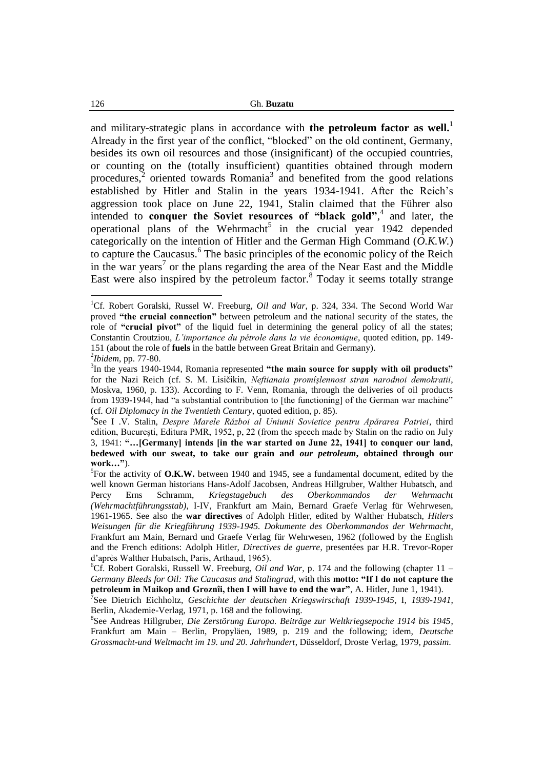and military-strategic plans in accordance with **the petroleum factor as well.**<sup>1</sup> Already in the first year of the conflict, "blocked" on the old continent, Germany, besides its own oil resources and those (insignificant) of the occupied countries, or counting on the (totally insufficient) quantities obtained through modern procedures, $\frac{1}{2}$  oriented towards Romania<sup>3</sup> and benefited from the good relations established by Hitler and Stalin in the years 1934-1941. After the Reich"s aggression took place on June 22, 1941, Stalin claimed that the Führer also intended to **conquer the Soviet resources of "black gold"**,<sup>4</sup> and later, the operational plans of the Wehrmacht<sup>5</sup> in the crucial year  $1942$  depended categorically on the intention of Hitler and the German High Command (*O.K.W.*) to capture the Caucasus.<sup>6</sup> The basic principles of the economic policy of the Reich in the war years<sup>7</sup> or the plans regarding the area of the Near East and the Middle East were also inspired by the petroleum factor.<sup>8</sup> Today it seems totally strange

<sup>1</sup>Cf. Robert Goralski, Russel W. Freeburg, *Oil and War*, p. 324, 334. The Second World War proved **"the crucial connection"** between petroleum and the national security of the states, the role of **"crucial pivot"** of the liquid fuel in determining the general policy of all the states; Constantin Croutziou, *L'importance du pétrole dans la vie économique*, quoted edition, pp. 149- 151 (about the role of **fuels** in the battle between Great Britain and Germany).

<sup>2</sup> *Ibidem*, pp. 77-80.

<sup>3</sup> In the years 1940-1944, Romania represented **"the main source for supply with oil products"** for the Nazi Reich (cf. S. M. Lisičikin, *Neftianaia promîşlennost stran narodnoi demokratii*, Moskva, 1960, p. 133). According to F. Venn, Romania, through the deliveries of oil products from 1939-1944, had "a substantial contribution to [the functioning] of the German war machine" (cf. *Oil Diplomacy in the Twentieth Century*, quoted edition, p. 85).

<sup>4</sup> See I .V. Stalin, *Despre Marele Război al Uniunii Sovietice pentru Apărarea Patriei*, third edition, Bucureşti, Editura PMR, 1952, p, 22 (from the speech made by Stalin on the radio on July 3, 1941: **"…[Germany] intends [in the war started on June 22, 1941] to conquer our land, bedewed with our sweat, to take our grain and** *our petroleum***, obtained through our work…"**).

<sup>5</sup> For the activity of **O.K.W.** between 1940 and 1945, see a fundamental document, edited by the well known German historians Hans-Adolf Jacobsen, Andreas Hillgruber, Walther Hubatsch, and Percy Erns Schramm, *Kriegstagebuch des Oberkommandos der Wehrmacht (Wehrmachtführungsstab)*, I-IV, Frankfurt am Main, Bernard Graefe Verlag für Wehrwesen, 1961-1965. See also the **war directives** of Adolph Hitler, edited by Walther Hubatsch, *Hitlers Weisungen für die Kriegführung 1939-1945. Dokumente des Oberkommandos der Wehrmacht*, Frankfurt am Main, Bernard und Graefe Verlag für Wehrwesen, 1962 (followed by the English and the French editions: Adolph Hitler, *Directives de guerre*, presentées par H.R. Trevor-Roper d"après Walther Hubatsch, Paris, Arthaud, 1965).

<sup>&</sup>lt;sup>6</sup>Cf. Robert Goralski, Russell W. Freeburg, *Oil and War*, p. 174 and the following (chapter 11 – *Germany Bleeds for Oil: The Caucasus and Stalingrad*, with this **motto: "If I do not capture the petroleum in Maikop and Groznîi, then I will have to end the war"**, A. Hitler, June 1, 1941).

<sup>7</sup> See Dietrich Eichholtz, *Geschichte der deutschen Kriegswirschaft 1939-1945*, I, *1939-1941*, Berlin, Akademie-Verlag, 1971, p. 168 and the following.

<sup>8</sup> See Andreas Hillgruber, *Die Zerstörung Europa. Beiträge zur Weltkriegsepoche 1914 bis 1945*, Frankfurt am Main – Berlin, Propyläen, 1989, p. 219 and the following; idem, *Deutsche Grossmacht-und Weltmacht im 19. und 20. Jahrhundert*, Düsseldorf, Droste Verlag, 1979, *passim*.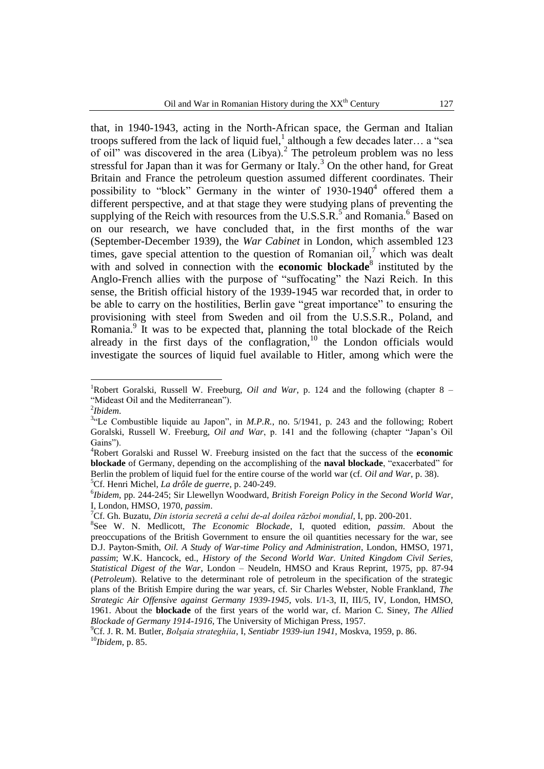that, in 1940-1943, acting in the North-African space, the German and Italian troops suffered from the lack of liquid fuel, although a few decades later... a "sea of oil" was discovered in the area  $(Libya)$ .<sup>2</sup> The petroleum problem was no less stressful for Japan than it was for Germany or Italy.<sup>3</sup> On the other hand, for Great Britain and France the petroleum question assumed different coordinates. Their possibility to "block" Germany in the winter of  $1930-1940<sup>4</sup>$  offered them a different perspective, and at that stage they were studying plans of preventing the supplying of the Reich with resources from the U.S.S.R. $^5$  and Romania.<sup>6</sup> Based on on our research, we have concluded that, in the first months of the war (September-December 1939), the *War Cabinet* in London, which assembled 123 times, gave special attention to the question of Romanian oil,<sup>7</sup> which was dealt with and solved in connection with the **economic blockade**<sup>8</sup> instituted by the Anglo-French allies with the purpose of "suffocating" the Nazi Reich. In this sense, the British official history of the 1939-1945 war recorded that, in order to be able to carry on the hostilities, Berlin gave "great importance" to ensuring the provisioning with steel from Sweden and oil from the U.S.S.R., Poland, and Romania.<sup>9</sup> It was to be expected that, planning the total blockade of the Reich already in the first days of the conflagration,<sup>10</sup> the London officials would investigate the sources of liquid fuel available to Hitler, among which were the

 $\overline{a}$ 

<sup>5</sup>Cf. Henri Michel, *La drôle de guerre*, p. 240-249.

<sup>&</sup>lt;sup>1</sup>Robert Goralski, Russell W. Freeburg, *Oil and War*, p. 124 and the following (chapter  $8 -$ "Mideast Oil and the Mediterranean").

<sup>2</sup> *Ibidem*.

<sup>&</sup>lt;sup>3.</sup> Le Combustible liquide au Japon", in *M.P.R.*, no. 5/1941, p. 243 and the following; Robert Goralski, Russell W. Freeburg, *Oil and War*, p. 141 and the following (chapter "Japan"s Oil Gains").

<sup>4</sup>Robert Goralski and Russel W. Freeburg insisted on the fact that the success of the **economic blockade** of Germany, depending on the accomplishing of the **naval blockade**, "exacerbated" for Berlin the problem of liquid fuel for the entire course of the world war (cf. *Oil and War*, p. 38).

<sup>6</sup> *Ibidem*, pp. 244-245; Sir Llewellyn Woodward, *British Foreign Policy in the Second World War*, I, London, HMSO, 1970, *passim*.

<sup>7</sup>Cf. Gh. Buzatu, *Din istoria secretă a celui de-al doilea război mondial*, I, pp. 200-201.

<sup>8</sup> See W. N. Medlicott, *The Economic Blockade*, I, quoted edition, *passim*. About the preoccupations of the British Government to ensure the oil quantities necessary for the war, see D.J. Payton-Smith, *Oil. A Study of War-time Policy and Administration*, London, HMSO, 1971, *passim*; W.K. Hancock, ed., *History of the Second World War. United Kingdom Civil Series, Statistical Digest of the War*, London – Neudeln, HMSO and Kraus Reprint, 1975, pp. 87-94 (*Petroleum*). Relative to the determinant role of petroleum in the specification of the strategic plans of the British Empire during the war years, cf. Sir Charles Webster, Noble Frankland, *The Strategic Air Offensive against Germany 1939-1945*, vols. I/1-3, II, III/5, IV, London, HMSO, 1961. About the **blockade** of the first years of the world war, cf. Marion C. Siney, *The Allied Blockade of Germany 1914-1916*, The University of Michigan Press, 1957.

<sup>9</sup>Cf. J. R. M. Butler, *Bolşaia strateghiia*, I, *Sentiabr 1939-iun 1941*, Moskva, 1959, p. 86. <sup>10</sup>*Ibidem*, p. 85.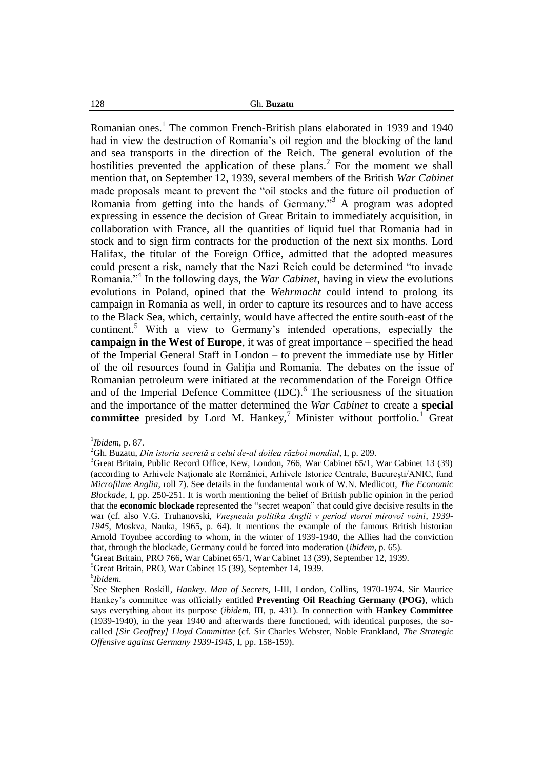Romanian ones.<sup>1</sup> The common French-British plans elaborated in 1939 and 1940 had in view the destruction of Romania"s oil region and the blocking of the land and sea transports in the direction of the Reich. The general evolution of the hostilities prevented the application of these plans.<sup>2</sup> For the moment we shall mention that, on September 12, 1939, several members of the British *War Cabinet* made proposals meant to prevent the "oil stocks and the future oil production of Romania from getting into the hands of Germany."<sup>3</sup> A program was adopted expressing in essence the decision of Great Britain to immediately acquisition, in collaboration with France, all the quantities of liquid fuel that Romania had in stock and to sign firm contracts for the production of the next six months. Lord Halifax, the titular of the Foreign Office, admitted that the adopted measures could present a risk, namely that the Nazi Reich could be determined "to invade Romania."<sup>4</sup> In the following days, the *War Cabinet*, having in view the evolutions evolutions in Poland, opined that the *Wehrmacht* could intend to prolong its campaign in Romania as well, in order to capture its resources and to have access to the Black Sea, which, certainly, would have affected the entire south-east of the continent.<sup>5</sup> With a view to Germany's intended operations, especially the **campaign in the West of Europe**, it was of great importance – specified the head of the Imperial General Staff in London – to prevent the immediate use by Hitler of the oil resources found in Galiţia and Romania. The debates on the issue of Romanian petroleum were initiated at the recommendation of the Foreign Office and of the Imperial Defence Committee (IDC).<sup>6</sup> The seriousness of the situation and the importance of the matter determined the *War Cabinet* to create a **special committee** presided by Lord M. Hankey,<sup>7</sup> Minister without portfolio.<sup>1</sup> Great

 $\overline{a}$ 

<sup>5</sup>Great Britain, PRO, War Cabinet 15 (39), September 14, 1939.

<sup>1</sup> *Ibidem*, p. 87.

<sup>2</sup>Gh. Buzatu, *Din istoria secretă a celui de-al doilea război mondial*, I, p. 209.

<sup>&</sup>lt;sup>3</sup>Great Britain, Public Record Office, Kew, London, 766, War Cabinet 65/1, War Cabinet 13 (39) (according to Arhivele Naţionale ale României, Arhivele Istorice Centrale, Bucureşti/ANIC, fund *Microfilme Anglia*, roll 7). See details in the fundamental work of W.N. Medlicott, *The Economic Blockade*, I, pp. 250-251. It is worth mentioning the belief of British public opinion in the period that the **economic blockade** represented the "secret weapon" that could give decisive results in the war (cf. also V.G. Truhanovski, *Vneşneaia politika Anglii v period vtoroi mirovoi voinî*, *1939- 1945*, Moskva, Nauka, 1965, p. 64). It mentions the example of the famous British historian Arnold Toynbee according to whom, in the winter of 1939-1940, the Allies had the conviction that, through the blockade, Germany could be forced into moderation (*ibidem*, p. 65).

<sup>4</sup>Great Britain, PRO 766, War Cabinet 65/1, War Cabinet 13 (39), September 12, 1939.

<sup>6</sup> *Ibidem*.

<sup>7</sup> See Stephen Roskill, *Hankey. Man of Secrets*, I-III, London, Collins, 1970-1974. Sir Maurice Hankey"s committee was officially entitled **Preventing Oil Reaching Germany (POG)**, which says everything about its purpose (*ibidem*, III, p. 431). In connection with **Hankey Committee** (1939-1940), in the year 1940 and afterwards there functioned, with identical purposes, the socalled *[Sir Geoffrey] Lloyd Committee* (cf. Sir Charles Webster, Noble Frankland, *The Strategic Offensive against Germany 1939-1945*, I, pp. 158-159).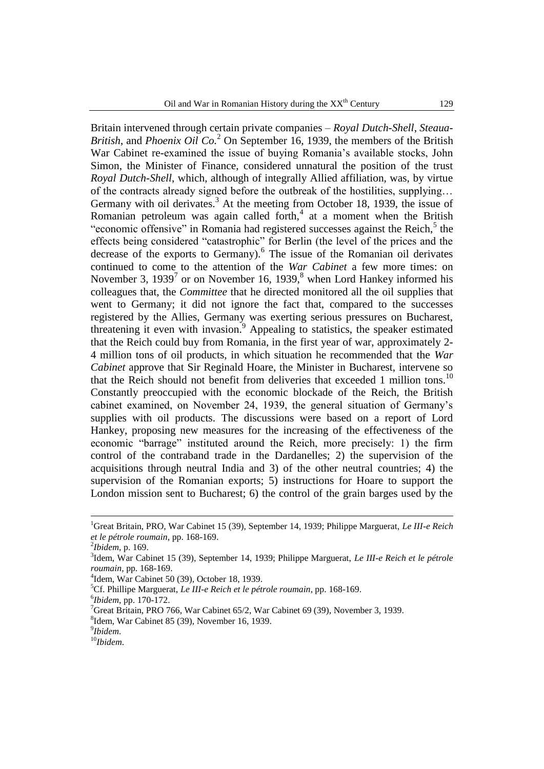Britain intervened through certain private companies – *Royal Dutch-Shell*, *Steaua-British*, and *Phoenix Oil Co.*<sup>2</sup> On September 16, 1939, the members of the British War Cabinet re-examined the issue of buying Romania"s available stocks, John Simon, the Minister of Finance, considered unnatural the position of the trust *Royal Dutch-Shell*, which, although of integrally Allied affiliation, was, by virtue of the contracts already signed before the outbreak of the hostilities, supplying… Germany with oil derivates. $3$  At the meeting from October 18, 1939, the issue of Romanian petroleum was again called forth, $4$  at a moment when the British "economic offensive" in Romania had registered successes against the Reich, $5$  the effects being considered "catastrophic" for Berlin (the level of the prices and the decrease of the exports to Germany).<sup>6</sup> The issue of the Romanian oil derivates continued to come to the attention of the *War Cabinet* a few more times: on November 3, 1939<sup>7</sup> or on November 16, 1939,<sup>8</sup> when Lord Hankey informed his colleagues that, the *Committee* that he directed monitored all the oil supplies that went to Germany; it did not ignore the fact that, compared to the successes registered by the Allies, Germany was exerting serious pressures on Bucharest, threatening it even with invasion.<sup>9</sup> Appealing to statistics, the speaker estimated that the Reich could buy from Romania, in the first year of war, approximately 2- 4 million tons of oil products, in which situation he recommended that the *War Cabinet* approve that Sir Reginald Hoare, the Minister in Bucharest, intervene so that the Reich should not benefit from deliveries that exceeded 1 million tons.<sup>10</sup> Constantly preoccupied with the economic blockade of the Reich, the British cabinet examined, on November 24, 1939, the general situation of Germany"s supplies with oil products. The discussions were based on a report of Lord Hankey, proposing new measures for the increasing of the effectiveness of the economic "barrage" instituted around the Reich, more precisely: 1) the firm control of the contraband trade in the Dardanelles; 2) the supervision of the acquisitions through neutral India and 3) of the other neutral countries; 4) the supervision of the Romanian exports; 5) instructions for Hoare to support the London mission sent to Bucharest; 6) the control of the grain barges used by the

<u>.</u>

<sup>1</sup>Great Britain, PRO, War Cabinet 15 (39), September 14, 1939; Philippe Marguerat, *Le III-e Reich et le pétrole roumain*, pp. 168-169.

<sup>2</sup> *Ibidem*, p. 169.

<sup>3</sup> Idem, War Cabinet 15 (39), September 14, 1939; Philippe Marguerat, *Le III-e Reich et le pétrole roumain*, pp. 168-169.

<sup>4</sup> Idem, War Cabinet 50 (39), October 18, 1939.

<sup>5</sup>Cf. Phillipe Marguerat, *Le III-e Reich et le pétrole roumain*, pp. 168-169.

<sup>6</sup> *Ibidem*, pp. 170-172.

<sup>&</sup>lt;sup>7</sup>Great Britain, PRO 766, War Cabinet 65/2, War Cabinet 69 (39), November 3, 1939.

<sup>8</sup> Idem, War Cabinet 85 (39), November 16, 1939.

<sup>9</sup> *Ibidem*.

<sup>10</sup>*Ibidem*.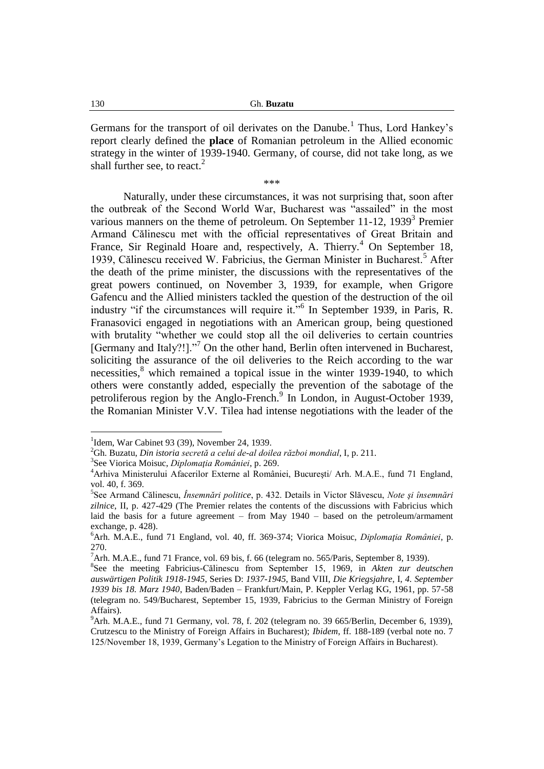Germans for the transport of oil derivates on the Danube.<sup>1</sup> Thus, Lord Hankey's report clearly defined the **place** of Romanian petroleum in the Allied economic strategy in the winter of 1939-1940. Germany, of course, did not take long, as we shall further see, to react.<sup>2</sup>

\*\*\*

Naturally, under these circumstances, it was not surprising that, soon after the outbreak of the Second World War, Bucharest was "assailed" in the most various manners on the theme of petroleum. On September 11-12, 1939<sup>3</sup> Premier Armand Călinescu met with the official representatives of Great Britain and France, Sir Reginald Hoare and, respectively, A. Thierry.<sup>4</sup> On September 18, 1939, Călinescu received W. Fabricius, the German Minister in Bucharest.<sup>5</sup> After the death of the prime minister, the discussions with the representatives of the great powers continued, on November 3, 1939, for example, when Grigore Gafencu and the Allied ministers tackled the question of the destruction of the oil industry "if the circumstances will require it."<sup>6</sup> In September 1939, in Paris, R. Franasovici engaged in negotiations with an American group, being questioned with brutality "whether we could stop all the oil deliveries to certain countries [Germany and Italy?!]."<sup>7</sup> On the other hand, Berlin often intervened in Bucharest, soliciting the assurance of the oil deliveries to the Reich according to the war necessities, $8$  which remained a topical issue in the winter 1939-1940, to which others were constantly added, especially the prevention of the sabotage of the petroliferous region by the Anglo-French.<sup>9</sup> In London, in August-October 1939, the Romanian Minister V.V. Tilea had intense negotiations with the leader of the

<sup>&</sup>lt;sup>1</sup>Idem, War Cabinet 93 (39), November 24, 1939.

<sup>2</sup>Gh. Buzatu, *Din istoria secretă a celui de-al doilea război mondial*, I, p. 211.

<sup>3</sup> See Viorica Moisuc, *Diplomaţia României*, p. 269.

<sup>4</sup>Arhiva Ministerului Afacerilor Externe al României, Bucureşti/ Arh. M.A.E., fund 71 England, vol. 40, f. 369.

<sup>5</sup> See Armand Călinescu, *Însemnări politice*, p. 432. Details in Victor Slăvescu, *Note şi însemnări zilnice*, II, p. 427-429 (The Premier relates the contents of the discussions with Fabricius which laid the basis for a future agreement – from May 1940 – based on the petroleum/armament exchange, p. 428).

<sup>6</sup>Arh. M.A.E., fund 71 England, vol. 40, ff. 369-374; Viorica Moisuc, *Diplomaţia României*, p. 270.

 $^7$ Arh. M.A.E., fund 71 France, vol. 69 bis, f. 66 (telegram no. 565/Paris, September 8, 1939).

<sup>8</sup> See the meeting Fabricius-Călinescu from September 15, 1969, in *Akten zur deutschen auswärtigen Politik 1918-1945*, Series D: *1937-1945*, Band VIII, *Die Kriegsjahre*, I, *4. September 1939 bis 18. Marz 1940*, Baden/Baden – Frankfurt/Main, P. Keppler Verlag KG, 1961, pp. 57-58 (telegram no. 549/Bucharest, September 15, 1939, Fabricius to the German Ministry of Foreign Affairs).

 $9^9$ Arh. M.A.E., fund 71 Germany, vol. 78, f. 202 (telegram no. 39 665/Berlin, December 6, 1939), Crutzescu to the Ministry of Foreign Affairs in Bucharest); *Ibidem*, ff. 188-189 (verbal note no. 7 125/November 18, 1939, Germany"s Legation to the Ministry of Foreign Affairs in Bucharest).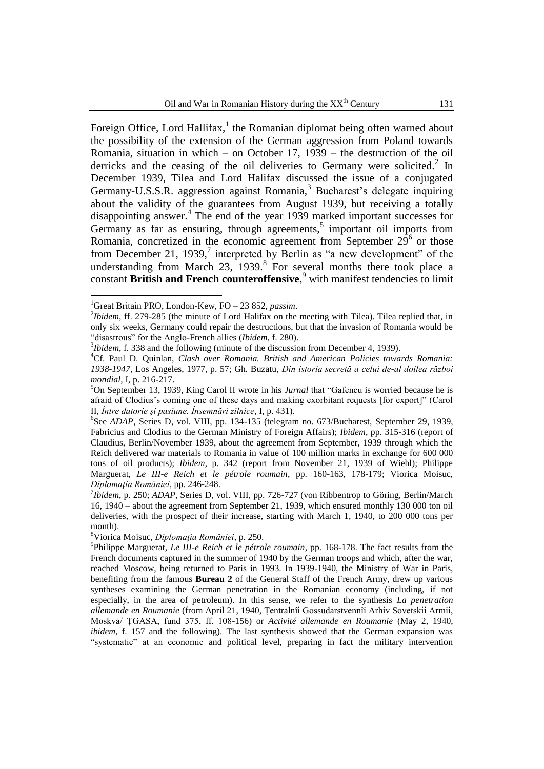Foreign Office, Lord Hallifax,<sup>1</sup> the Romanian diplomat being often warned about the possibility of the extension of the German aggression from Poland towards Romania, situation in which – on October 17, 1939 – the destruction of the oil derricks and the ceasing of the oil deliveries to Germany were solicited.<sup>2</sup> In December 1939, Tilea and Lord Halifax discussed the issue of a conjugated Germany-U.S.S.R. aggression against Romania,<sup>3</sup> Bucharest's delegate inquiring about the validity of the guarantees from August 1939, but receiving a totally disappointing answer.<sup>4</sup> The end of the year 1939 marked important successes for Germany as far as ensuring, through agreements, $5$  important oil imports from Romania, concretized in the economic agreement from September  $29^6$  or those from December 21, 1939,<sup>7</sup> interpreted by Berlin as "a new development" of the understanding from March  $23$ ,  $1939$ .<sup>8</sup> For several months there took place a constant **British and French counteroffensive**, <sup>9</sup> with manifest tendencies to limit

 $\overline{a}$ 

<sup>8</sup>Viorica Moisuc, *Diplomaţia României*, p. 250.

<sup>1</sup>Great Britain PRO, London-Kew, FO – 23 852, *passim*.

<sup>&</sup>lt;sup>2</sup>*Ibidem*, ff. 279-285 (the minute of Lord Halifax on the meeting with Tilea). Tilea replied that, in only six weeks, Germany could repair the destructions, but that the invasion of Romania would be "disastrous" for the Anglo-French allies (*Ibidem*, f. 280).

<sup>3</sup> *Ibidem*, f. 338 and the following (minute of the discussion from December 4, 1939).

<sup>4</sup>Cf. Paul D. Quinlan, *Clash over Romania. British and American Policies towards Romania: 1938-1947*, Los Angeles, 1977, p. 57; Gh. Buzatu, *Din istoria secretă a celui de-al doilea război mondial*, I, p. 216-217.

<sup>5</sup>On September 13, 1939, King Carol II wrote in his *Jurnal* that "Gafencu is worried because he is afraid of Clodius"s coming one of these days and making exorbitant requests [for export]" (Carol II, *Între datorie şi pasiune. Însemnări zilnice*, I, p. 431).

<sup>&</sup>lt;sup>6</sup>See ADAP, Series D, vol. VIII, pp. 134-135 (telegram no. 673/Bucharest, September 29, 1939, Fabricius and Clodius to the German Ministry of Foreign Affairs); *Ibidem*, pp. 315-316 (report of Claudius, Berlin/November 1939, about the agreement from September, 1939 through which the Reich delivered war materials to Romania in value of 100 million marks in exchange for 600 000 tons of oil products); *Ibidem*, p. 342 (report from November 21, 1939 of Wiehl); Philippe Marguerat, *Le III-e Reich et le pétrole roumain*, pp. 160-163, 178-179; Viorica Moisuc, *Diplomaţia României*, pp. 246-248.

<sup>7</sup> *Ibidem*, p. 250; *ADAP*, Series D, vol. VIII, pp. 726-727 (von Ribbentrop to Göring, Berlin/March 16, 1940 – about the agreement from September 21, 1939, which ensured monthly 130 000 ton oil deliveries, with the prospect of their increase, starting with March 1, 1940, to 200 000 tons per month).

<sup>9</sup> Philippe Marguerat, *Le III-e Reich et le pétrole roumain*, pp. 168-178. The fact results from the French documents captured in the summer of 1940 by the German troops and which, after the war, reached Moscow, being returned to Paris in 1993. In 1939-1940, the Ministry of War in Paris, benefiting from the famous **Bureau 2** of the General Staff of the French Army, drew up various syntheses examining the German penetration in the Romanian economy (including, if not especially, in the area of petroleum). In this sense, we refer to the synthesis *La penetration allemande en Roumanie* (from April 21, 1940, Ţentralnîi Gossudarstvennîi Arhiv Sovetskii Armii, Moskva/ ŢGASA, fund 375, ff. 108-156) or *Activité allemande en Roumanie* (May 2, 1940, *ibidem*, f. 157 and the following). The last synthesis showed that the German expansion was "systematic" at an economic and political level, preparing in fact the military intervention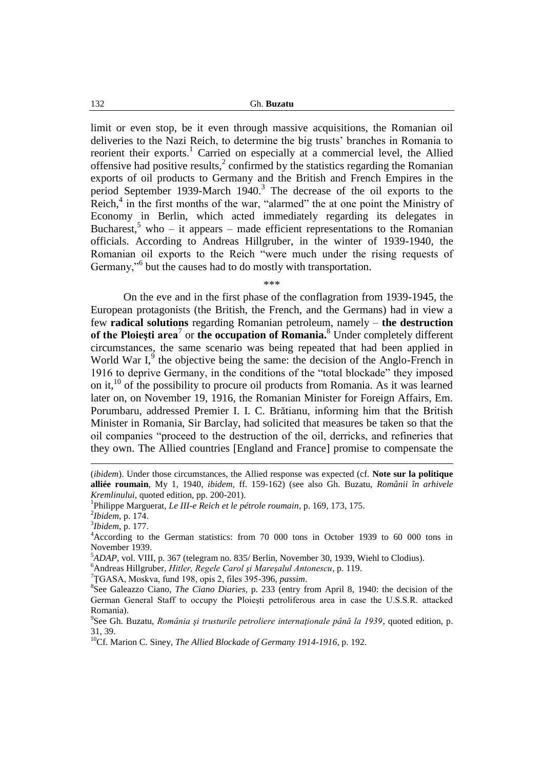limit or even stop, be it even through massive acquisitions, the Romanian oil deliveries to the Nazi Reich, to determine the big trusts" branches in Romania to reorient their exports.<sup>1</sup> Carried on especially at a commercial level, the Allied offensive had positive results, $\frac{2}{3}$  confirmed by the statistics regarding the Romanian exports of oil products to Germany and the British and French Empires in the period September 1939-March 1940.<sup>3</sup> The decrease of the oil exports to the Reich, $4$  in the first months of the war, "alarmed" the at one point the Ministry of Economy in Berlin, which acted immediately regarding its delegates in Bucharest,<sup>5</sup> who – it appears – made efficient representations to the Romanian officials. According to Andreas Hillgruber, in the winter of 1939-1940, the Romanian oil exports to the Reich "were much under the rising requests of Germany,"<sup>6</sup> but the causes had to do mostly with transportation.

\*\*\*

On the eve and in the first phase of the conflagration from 1939-1945, the European protagonists (the British, the French, and the Germans) had in view a few **radical solutions** regarding Romanian petroleum, namely – **the destruction of the Ploieşti area**<sup>7</sup> or **the occupation of Romania.**<sup>8</sup> Under completely different circumstances, the same scenario was being repeated that had been applied in World War  $I<sub>1</sub><sup>9</sup>$  the objective being the same: the decision of the Anglo-French in 1916 to deprive Germany, in the conditions of the "total blockade" they imposed on it,<sup>10</sup> of the possibility to procure oil products from Romania. As it was learned later on, on November 19, 1916, the Romanian Minister for Foreign Affairs, Em. Porumbaru, addressed Premier I. I. C. Brătianu, informing him that the British Minister in Romania, Sir Barclay, had solicited that measures be taken so that the oil companies "proceed to the destruction of the oil, derricks, and refineries that they own. The Allied countries [England and France] promise to compensate the

<u>.</u>

<sup>6</sup>Andreas Hillgruber, *Hitler, Regele Carol şi Mareşalul Antonescu*, p. 119.

<sup>7</sup>ŢGASA, Moskva, fund 198, opis 2, files 395-396, *passim*.

<sup>(</sup>*ibidem*). Under those circumstances, the Allied response was expected (cf. **Note sur la politique alliée roumain**, My 1, 1940, *ibidem*, ff. 159-162) (see also Gh. Buzatu, *Românii în arhivele Kremlinului*, quoted edition, pp. 200-201).

<sup>1</sup> Philippe Marguerat, *Le III-e Reich et le pétrole roumain*, p. 169, 173, 175.

<sup>2</sup> *Ibidem*, p. 174.

<sup>3</sup> *Ibidem*, p. 177.

<sup>4</sup>According to the German statistics: from 70 000 tons in October 1939 to 60 000 tons in November 1939.

<sup>&</sup>lt;sup>5</sup>ADAP, vol. VIII, p. 367 (telegram no. 835/ Berlin, November 30, 1939, Wiehl to Clodius).

<sup>8</sup> See Galeazzo Ciano, *The Ciano Diaries*, p. 233 (entry from April 8, 1940: the decision of the German General Staff to occupy the Ploieşti petroliferous area in case the U.S.S.R. attacked Romania).

<sup>9</sup> See Gh. Buzatu, *România şi trusturile petroliere internaţionale până la 1939*, quoted edition, p. 31, 39.

<sup>10</sup>Cf. Marion C. Siney, *The Allied Blockade of Germany 1914-1916*, p. 192.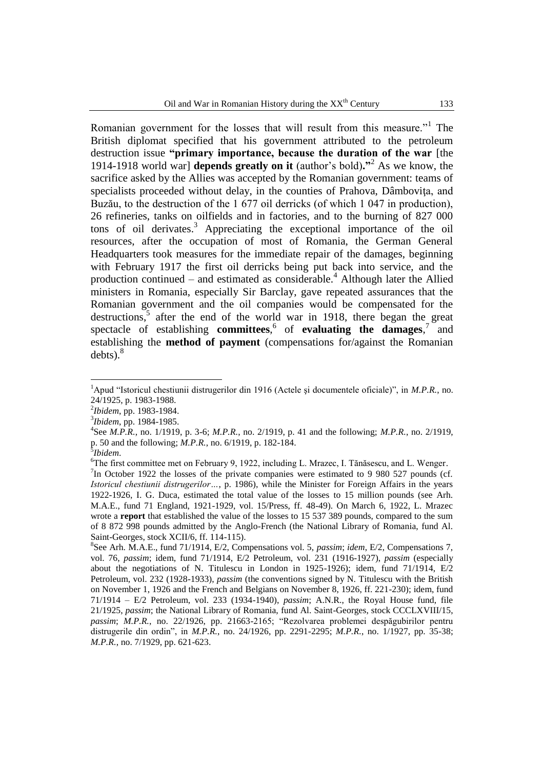Romanian government for the losses that will result from this measure."<sup>1</sup> The British diplomat specified that his government attributed to the petroleum destruction issue **"primary importance, because the duration of the war** [the 1914-1918 world war] **depends greatly on it** (author"s bold)**."**<sup>2</sup> As we know, the sacrifice asked by the Allies was accepted by the Romanian government: teams of specialists proceeded without delay, in the counties of Prahova, Dâmboviţa, and Buzău, to the destruction of the 1 677 oil derricks (of which 1 047 in production), 26 refineries, tanks on oilfields and in factories, and to the burning of 827 000 tons of oil derivates.<sup>3</sup> Appreciating the exceptional importance of the oil resources, after the occupation of most of Romania, the German General Headquarters took measures for the immediate repair of the damages, beginning with February 1917 the first oil derricks being put back into service, and the production continued – and estimated as considerable.<sup>4</sup> Although later the Allied ministers in Romania, especially Sir Barclay, gave repeated assurances that the Romanian government and the oil companies would be compensated for the destructions,<sup>5</sup> after the end of the world war in 1918, there began the great spectacle of establishing **committees**,<sup>6</sup> of **evaluating the damages**,<sup>7</sup> and establishing the **method of payment** (compensations for/against the Romanian  $debts$ ).<sup>8</sup>

<sup>1</sup>Apud "Istoricul chestiunii distrugerilor din 1916 (Actele şi documentele oficiale)", in *M.P.R.*, no. 24/1925, p. 1983-1988.

<sup>2</sup> *Ibidem*, pp. 1983-1984.

<sup>3</sup> *Ibidem*, pp. 1984-1985.

<sup>4</sup> See *M.P.R.*, no. 1/1919, p. 3-6; *M.P.R.*, no. 2/1919, p. 41 and the following; *M.P.R.*, no. 2/1919, p. 50 and the following; *M.P.R.*, no. 6/1919, p. 182-184.

<sup>5</sup> *Ibidem*.

<sup>6</sup>The first committee met on February 9, 1922, including L. Mrazec, I. Tănăsescu, and L. Wenger. <sup>7</sup>In October 1922 the losses of the private companies were estimated to 9 980 527 pounds (cf. *Istoricul chestiunii distrugerilor…*, p. 1986), while the Minister for Foreign Affairs in the years 1922-1926, I. G. Duca, estimated the total value of the losses to 15 million pounds (see Arh. M.A.E., fund 71 England, 1921-1929, vol. 15/Press, ff. 48-49). On March 6, 1922, L. Mrazec wrote a **report** that established the value of the losses to 15 537 389 pounds, compared to the sum of 8 872 998 pounds admitted by the Anglo-French (the National Library of Romania, fund Al. Saint-Georges, stock XCII/6, ff. 114-115).

<sup>8</sup> See Arh. M.A.E., fund 71/1914, E/2, Compensations vol. 5, *passim*; *idem*, E/2, Compensations 7, vol. 76, *passim*; idem, fund 71/1914, E/2 Petroleum, vol. 231 (1916-1927), *passim* (especially about the negotiations of N. Titulescu in London in 1925-1926); idem, fund 71/1914, E/2 Petroleum, vol. 232 (1928-1933), *passim* (the conventions signed by N. Titulescu with the British on November 1, 1926 and the French and Belgians on November 8, 1926, ff. 221-230); idem, fund 71/1914 – E/2 Petroleum, vol. 233 (1934-1940), *passim*; A.N.R., the Royal House fund, file 21/1925, *passim*; the National Library of Romania, fund Al. Saint-Georges, stock CCCLXVIII/15, *passim*; *M.P.R.*, no. 22/1926, pp. 21663-2165; "Rezolvarea problemei despăgubirilor pentru distrugerile din ordin", in *M.P.R.*, no. 24/1926, pp. 2291-2295; *M.P.R.*, no. 1/1927, pp. 35-38; *M.P.R.*, no. 7/1929, pp. 621-623.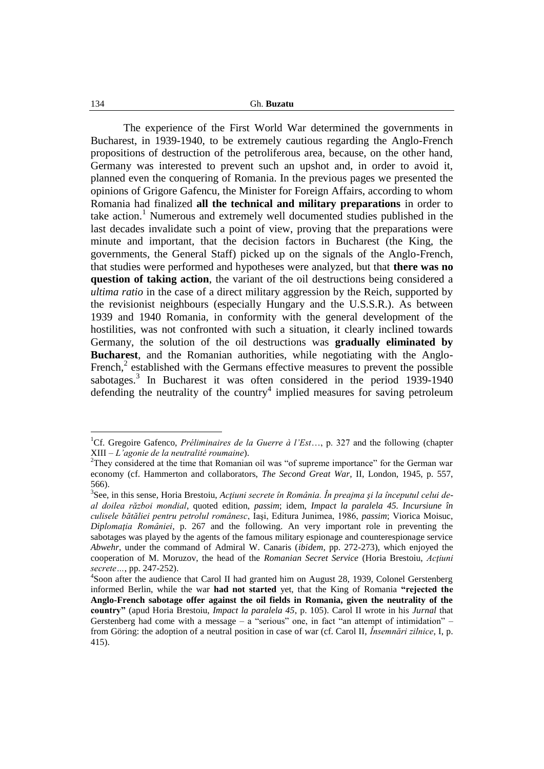The experience of the First World War determined the governments in Bucharest, in 1939-1940, to be extremely cautious regarding the Anglo-French propositions of destruction of the petroliferous area, because, on the other hand, Germany was interested to prevent such an upshot and, in order to avoid it, planned even the conquering of Romania. In the previous pages we presented the opinions of Grigore Gafencu, the Minister for Foreign Affairs, according to whom Romania had finalized **all the technical and military preparations** in order to take action.<sup>1</sup> Numerous and extremely well documented studies published in the last decades invalidate such a point of view, proving that the preparations were minute and important, that the decision factors in Bucharest (the King, the governments, the General Staff) picked up on the signals of the Anglo-French, that studies were performed and hypotheses were analyzed, but that **there was no question of taking action**, the variant of the oil destructions being considered a *ultima ratio* in the case of a direct military aggression by the Reich, supported by the revisionist neighbours (especially Hungary and the U.S.S.R.). As between 1939 and 1940 Romania, in conformity with the general development of the hostilities, was not confronted with such a situation, it clearly inclined towards Germany, the solution of the oil destructions was **gradually eliminated by Bucharest**, and the Romanian authorities, while negotiating with the Anglo-French, $2$  established with the Germans effective measures to prevent the possible sabotages.<sup>3</sup> In Bucharest it was often considered in the period 1939-1940 defending the neutrality of the country<sup>4</sup> implied measures for saving petroleum

<sup>1</sup>Cf. Gregoire Gafenco, *Préliminaires de la Guerre à l'Est*…, p. 327 and the following (chapter XIII – *L'agonie de la neutralité roumaine*).

<sup>&</sup>lt;sup>2</sup>They considered at the time that Romanian oil was "of supreme importance" for the German war economy (cf. Hammerton and collaborators, *The Second Great War*, II, London, 1945, p. 557, 566).

<sup>3</sup> See, in this sense, Horia Brestoiu, *Acţiuni secrete în România. În preajma şi la începutul celui deal doilea război mondial*, quoted edition, *passim*; idem, *Impact la paralela 45. Incursiune în culisele bătăliei pentru petrolul românesc*, Iaşi, Editura Junimea, 1986, *passim*; Viorica Moisuc, *Diplomaţia României*, p. 267 and the following. An very important role in preventing the sabotages was played by the agents of the famous military espionage and counterespionage service *Abwehr*, under the command of Admiral W. Canaris (*ibidem*, pp. 272-273), which enjoyed the cooperation of M. Moruzov, the head of the *Romanian Secret Service* (Horia Brestoiu, *Actiuni secrete…*, pp. 247-252).

<sup>&</sup>lt;sup>4</sup>Soon after the audience that Carol II had granted him on August 28, 1939, Colonel Gerstenberg informed Berlin, while the war **had not started** yet, that the King of Romania **"rejected the Anglo-French sabotage offer against the oil fields in Romania, given the neutrality of the country"** (apud Horia Brestoiu, *Impact la paralela 45*, p. 105). Carol II wrote in his *Jurnal* that Gerstenberg had come with a message  $-$  a "serious" one, in fact "an attempt of intimidation"  $$ from Göring: the adoption of a neutral position in case of war (cf. Carol II, *Însemnări zilnice*, I, p. 415).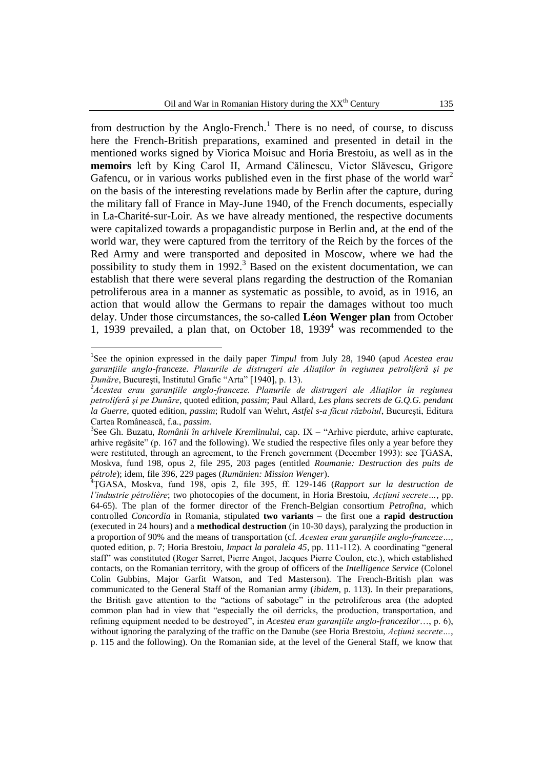from destruction by the Anglo-French.<sup>1</sup> There is no need, of course, to discuss here the French-British preparations, examined and presented in detail in the mentioned works signed by Viorica Moisuc and Horia Brestoiu, as well as in the **memoirs** left by King Carol II, Armand Călinescu, Victor Slăvescu, Grigore Gafencu, or in various works published even in the first phase of the world war<sup>2</sup> on the basis of the interesting revelations made by Berlin after the capture, during the military fall of France in May-June 1940, of the French documents, especially in La-Charité-sur-Loir. As we have already mentioned, the respective documents were capitalized towards a propagandistic purpose in Berlin and, at the end of the world war, they were captured from the territory of the Reich by the forces of the Red Army and were transported and deposited in Moscow, where we had the possibility to study them in  $1992$ <sup>3</sup> Based on the existent documentation, we can establish that there were several plans regarding the destruction of the Romanian petroliferous area in a manner as systematic as possible, to avoid, as in 1916, an action that would allow the Germans to repair the damages without too much delay. Under those circumstances, the so-called **Léon Wenger plan** from October 1, 1939 prevailed, a plan that, on October 18,  $1939<sup>4</sup>$  was recommended to the

<sup>&</sup>lt;sup>1</sup>See the opinion expressed in the daily paper *Timpul* from July 28, 1940 (apud *Acestea erau garanţiile anglo-franceze. Planurile de distrugeri ale Aliaţilor în regiunea petroliferă şi pe Dunăre*, Bucureşti, Institutul Grafic "Arta" [1940], p. 13).

<sup>2</sup>*Acestea erau garanţiile anglo-franceze. Planurile de distrugeri ale Aliaţilor în regiunea petroliferă şi pe Dunăre*, quoted edition, *passim*; Paul Allard, *Les plans secrets de G.Q.G. pendant la Guerre*, quoted edition, *passim*; Rudolf van Wehrt, *Astfel s-a făcut războiul*, Bucureşti, Editura Cartea Românească, f.a., *passim*.

<sup>3</sup> See Gh. Buzatu, *Românii în arhivele Kremlinului*, cap. IX – "Arhive pierdute, arhive capturate, arhive regăsite" (p. 167 and the following). We studied the respective files only a year before they were restituted, through an agreement, to the French government (December 1993): see ŢGASA, Moskva, fund 198, opus 2, file 295, 203 pages (entitled *Roumanie: Destruction des puits de pétrole*); idem, file 396, 229 pages (*Rumänien: Mission Wenger*).

<sup>4</sup>ŢGASA, Moskva, fund 198, opis 2, file 395, ff. 129-146 (*Rapport sur la destruction de l'industrie pétrolière*; two photocopies of the document, in Horia Brestoiu, *Acţiuni secrete…*, pp. 64-65). The plan of the former director of the French-Belgian consortium *Petrofina*, which controlled *Concordia* in Romania, stipulated **two variants** – the first one a **rapid destruction** (executed in 24 hours) and a **methodical destruction** (in 10-30 days), paralyzing the production in a proportion of 90% and the means of transportation (cf. *Acestea erau garantiile anglo-franceze...*, quoted edition, p. 7; Horia Brestoiu, *Impact la paralela 45*, pp. 111-112). A coordinating "general staff" was constituted (Roger Sarret, Pierre Angot, Jacques Pierre Coulon, etc.), which established contacts, on the Romanian territory, with the group of officers of the *Intelligence Service* (Colonel Colin Gubbins, Major Garfit Watson, and Ted Masterson). The French-British plan was communicated to the General Staff of the Romanian army (*ibidem*, p. 113). In their preparations, the British gave attention to the "actions of sabotage" in the petroliferous area (the adopted common plan had in view that "especially the oil derricks, the production, transportation, and refining equipment needed to be destroyed", in *Acestea erau garanţiile anglo-francezilor*…, p. 6), without ignoring the paralyzing of the traffic on the Danube (see Horia Brestoiu, *Actiuni secrete...*, p. 115 and the following). On the Romanian side, at the level of the General Staff, we know that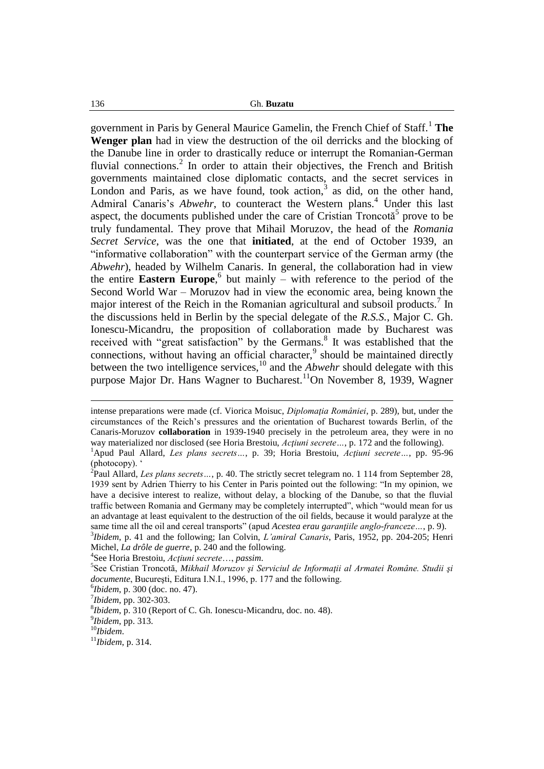government in Paris by General Maurice Gamelin, the French Chief of Staff.<sup>1</sup> **The Wenger plan** had in view the destruction of the oil derricks and the blocking of the Danube line in order to drastically reduce or interrupt the Romanian-German fluvial connections.<sup>2</sup> In order to attain their objectives, the French and British governments maintained close diplomatic contacts, and the secret services in London and Paris, as we have found, took action,  $3$  as did, on the other hand, Admiral Canaris's *Abwehr*, to counteract the Western plans.<sup>4</sup> Under this last aspect, the documents published under the care of Cristian Troncotă<sup>5</sup> prove to be truly fundamental. They prove that Mihail Moruzov, the head of the *Romania Secret Service*, was the one that **initiated**, at the end of October 1939, an "informative collaboration" with the counterpart service of the German army (the *Abwehr*), headed by Wilhelm Canaris. In general, the collaboration had in view the entire **Eastern Europe**, 6 but mainly – with reference to the period of the Second World War – Moruzov had in view the economic area, being known the major interest of the Reich in the Romanian agricultural and subsoil products.<sup>7</sup> In the discussions held in Berlin by the special delegate of the *R.S.S.*, Major C. Gh. Ionescu-Micandru, the proposition of collaboration made by Bucharest was received with "great satisfaction" by the Germans.<sup>8</sup> It was established that the connections, without having an official character, $9$  should be maintained directly between the two intelligence services,<sup>10</sup> and the *Abwehr* should delegate with this purpose Major Dr. Hans Wagner to Bucharest.<sup>11</sup>On November 8, 1939, Wagner

3 *Ibidem*, p. 41 and the following; Ian Colvin, *L'amiral Canaris*, Paris, 1952, pp. 204-205; Henri Michel, *La drôle de guerre*, p. 240 and the following.

4 See Horia Brestoiu, *Acţiuni secrete*…, *passim*.

7 *Ibidem*, pp. 302-303.

8 *Ibidem*, p. 310 (Report of C. Gh. Ionescu-Micandru, doc. no. 48).

9 *Ibidem*, pp. 313.

<u>.</u>

intense preparations were made (cf. Viorica Moisuc, *Diplomaţia României*, p. 289), but, under the circumstances of the Reich"s pressures and the orientation of Bucharest towards Berlin, of the Canaris-Moruzov **collaboration** in 1939-1940 precisely in the petroleum area, they were in no way materialized nor disclosed (see Horia Brestoiu, *Acţiuni secrete…*, p. 172 and the following).

<sup>1</sup>Apud Paul Allard, *Les plans secrets…*, p. 39; Horia Brestoiu, *Acţiuni secrete…*, pp. 95-96 (photocopy).

<sup>2</sup> Paul Allard, *Les plans secrets…*, p. 40. The strictly secret telegram no. 1 114 from September 28, 1939 sent by Adrien Thierry to his Center in Paris pointed out the following: "In my opinion, we have a decisive interest to realize, without delay, a blocking of the Danube, so that the fluvial traffic between Romania and Germany may be completely interrupted", which "would mean for us an advantage at least equivalent to the destruction of the oil fields, because it would paralyze at the same time all the oil and cereal transports" (apud *Acestea erau garantiile anglo-franceze...*, p. 9).

<sup>5</sup> See Cristian Troncotă, *Mikhail Moruzov şi Serviciul de Informaţii al Armatei Române. Studii şi documente*, Bucureşti, Editura I.N.I., 1996, p. 177 and the following.

<sup>6</sup> *Ibidem*, p. 300 (doc. no. 47).

<sup>10</sup>*Ibidem*.

<sup>11</sup>*Ibidem*, p. 314.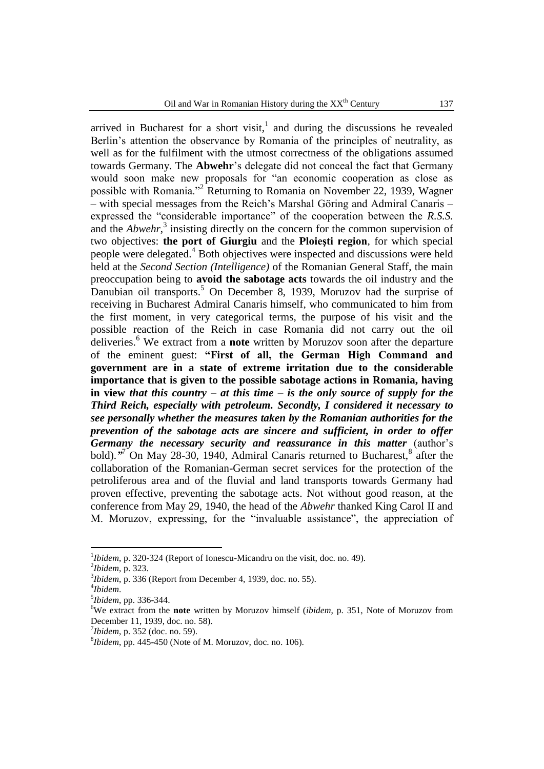arrived in Bucharest for a short visit, $\frac{1}{1}$  and during the discussions he revealed Berlin's attention the observance by Romania of the principles of neutrality, as well as for the fulfilment with the utmost correctness of the obligations assumed towards Germany. The **Abwehr**"s delegate did not conceal the fact that Germany would soon make new proposals for "an economic cooperation as close as possible with Romania."<sup>2</sup> Returning to Romania on November 22, 1939, Wagner – with special messages from the Reich"s Marshal Göring and Admiral Canaris – expressed the "considerable importance" of the cooperation between the *R.S.S.* and the *Abwehr*,<sup>3</sup> insisting directly on the concern for the common supervision of two objectives: **the port of Giurgiu** and the **Ploieşti region**, for which special people were delegated.<sup>4</sup> Both objectives were inspected and discussions were held held at the *Second Section (Intelligence)* of the Romanian General Staff, the main preoccupation being to **avoid the sabotage acts** towards the oil industry and the Danubian oil transports.<sup>5</sup> On December 8, 1939, Moruzov had the surprise of receiving in Bucharest Admiral Canaris himself, who communicated to him from the first moment, in very categorical terms, the purpose of his visit and the possible reaction of the Reich in case Romania did not carry out the oil deliveries.<sup>6</sup> We extract from a **note** written by Moruzov soon after the departure of the eminent guest: **"First of all, the German High Command and government are in a state of extreme irritation due to the considerable importance that is given to the possible sabotage actions in Romania, having in view** *that this country – at this time – is the only source of supply for the Third Reich, especially with petroleum. Secondly, I considered it necessary to see personally whether the measures taken by the Romanian authorities for the prevention of the sabotage acts are sincere and sufficient, in order to offer*  Germany the necessary security and reassurance in this matter (author's bold).<sup>"</sup><sup>7</sup> On May 28-30, 1940, Admiral Canaris returned to Bucharest,<sup>8</sup> after the collaboration of the Romanian-German secret services for the protection of the petroliferous area and of the fluvial and land transports towards Germany had proven effective, preventing the sabotage acts. Not without good reason, at the conference from May 29, 1940, the head of the *Abwehr* thanked King Carol II and M. Moruzov, expressing, for the "invaluable assistance", the appreciation of

<sup>&</sup>lt;sup>1</sup>*Ibidem*, p. 320-324 (Report of Ionescu-Micandru on the visit, doc. no. 49).

<sup>2</sup> *Ibidem*, p. 323.

<sup>3</sup> *Ibidem*, p. 336 (Report from December 4, 1939, doc. no. 55).

<sup>4</sup> *Ibidem*.

<sup>5</sup> *Ibidem*, pp. 336-344.

<sup>6</sup>We extract from the **note** written by Moruzov himself (*ibidem*, p. 351, Note of Moruzov from December 11, 1939, doc. no. 58).

<sup>7</sup> *Ibidem*, p. 352 (doc. no. 59).

<sup>8</sup> *Ibidem*, pp. 445-450 (Note of M. Moruzov, doc. no. 106).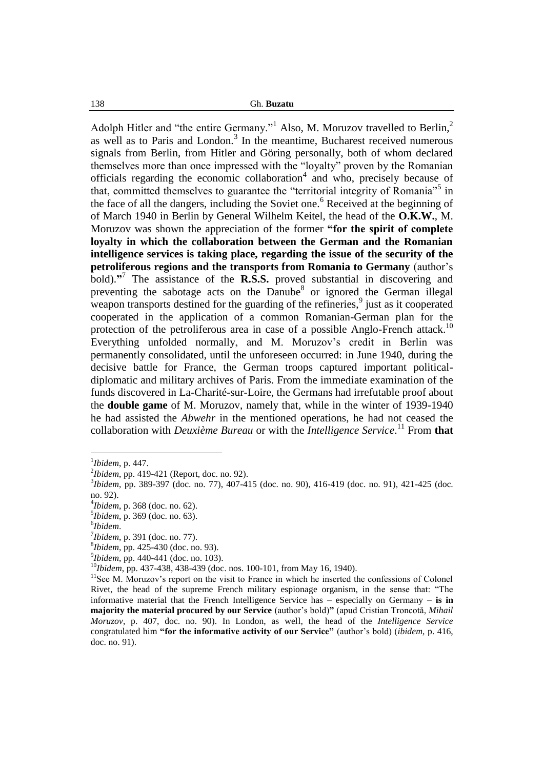Adolph Hitler and "the entire Germany."<sup>1</sup> Also, M. Moruzov travelled to Berlin,<sup>2</sup> as well as to Paris and London. $3$  In the meantime, Bucharest received numerous signals from Berlin, from Hitler and Göring personally, both of whom declared themselves more than once impressed with the "loyalty" proven by the Romanian officials regarding the economic collaboration $4$  and who, precisely because of that, committed themselves to guarantee the "territorial integrity of Romania"<sup>5</sup> in the face of all the dangers, including the Soviet one.<sup>6</sup> Received at the beginning of of March 1940 in Berlin by General Wilhelm Keitel, the head of the **O.K.W.**, M. Moruzov was shown the appreciation of the former **"for the spirit of complete loyalty in which the collaboration between the German and the Romanian intelligence services is taking place, regarding the issue of the security of the petroliferous regions and the transports from Romania to Germany** (author"s bold).<sup>"</sup> The assistance of the **R.S.S.** proved substantial in discovering and preventing the sabotage acts on the Danube<sup>8</sup> or ignored the German illegal weapon transports destined for the guarding of the refineries, $9$  just as it cooperated cooperated in the application of a common Romanian-German plan for the protection of the petroliferous area in case of a possible Anglo-French attack.<sup>10</sup> Everything unfolded normally, and M. Moruzov's credit in Berlin was permanently consolidated, until the unforeseen occurred: in June 1940, during the decisive battle for France, the German troops captured important politicaldiplomatic and military archives of Paris. From the immediate examination of the funds discovered in La-Charité-sur-Loire, the Germans had irrefutable proof about the **double game** of M. Moruzov, namely that, while in the winter of 1939-1940 he had assisted the *Abwehr* in the mentioned operations, he had not ceased the collaboration with *Deuxième Bureau* or with the *Intelligence Service*. <sup>11</sup> From **that** 

<sup>1</sup> *Ibidem*, p. 447.

<sup>2</sup> *Ibidem*, pp. 419-421 (Report, doc. no. 92).

<sup>3</sup> *Ibidem*, pp. 389-397 (doc. no. 77), 407-415 (doc. no. 90), 416-419 (doc. no. 91), 421-425 (doc. no. 92).

<sup>4</sup> *Ibidem*, p. 368 (doc. no. 62).

<sup>5</sup> *Ibidem*, p. 369 (doc. no. 63).

<sup>6</sup> *Ibidem*.

<sup>7</sup> *Ibidem*, p. 391 (doc. no. 77).

<sup>8</sup> *Ibidem*, pp. 425-430 (doc. no. 93).

<sup>9</sup> *Ibidem*, pp. 440-441 (doc. no. 103).

<sup>10</sup>*Ibidem*, pp. 437-438, 438-439 (doc. nos. 100-101, from May 16, 1940).

<sup>&</sup>lt;sup>11</sup>See M. Moruzov's report on the visit to France in which he inserted the confessions of Colonel Rivet, the head of the supreme French military espionage organism, in the sense that: "The informative material that the French Intelligence Service has – especially on Germany – **is in majority the material procured by our Service** (author"s bold)**"** (apud Cristian Troncotă, *Mihail Moruzov*, p. 407, doc. no. 90). In London, as well, the head of the *Intelligence Service* congratulated him **"for the informative activity of our Service"** (author"s bold) (*ibidem*, p. 416, doc. no. 91).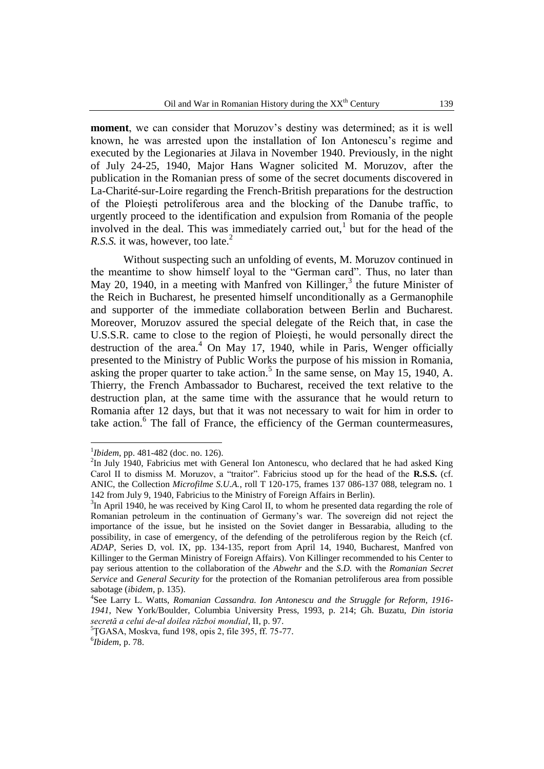**moment**, we can consider that Moruzov's destiny was determined; as it is well known, he was arrested upon the installation of Ion Antonescu"s regime and executed by the Legionaries at Jilava in November 1940. Previously, in the night of July 24-25, 1940, Major Hans Wagner solicited M. Moruzov, after the publication in the Romanian press of some of the secret documents discovered in La-Charité-sur-Loire regarding the French-British preparations for the destruction of the Ploieşti petroliferous area and the blocking of the Danube traffic, to urgently proceed to the identification and expulsion from Romania of the people involved in the deal. This was immediately carried out,<sup>1</sup> but for the head of the *R.S.S.* it was, however, too late.<sup>2</sup>

Without suspecting such an unfolding of events, M. Moruzov continued in the meantime to show himself loyal to the "German card". Thus, no later than May 20, 1940, in a meeting with Manfred von Killinger,<sup>3</sup> the future Minister of the Reich in Bucharest, he presented himself unconditionally as a Germanophile and supporter of the immediate collaboration between Berlin and Bucharest. Moreover, Moruzov assured the special delegate of the Reich that, in case the U.S.S.R. came to close to the region of Ploieşti, he would personally direct the destruction of the area. $4$  On May 17, 1940, while in Paris, Wenger officially presented to the Ministry of Public Works the purpose of his mission in Romania, asking the proper quarter to take action.<sup>5</sup> In the same sense, on May 15, 1940, A. Thierry, the French Ambassador to Bucharest, received the text relative to the destruction plan, at the same time with the assurance that he would return to Romania after 12 days, but that it was not necessary to wait for him in order to take action.<sup>6</sup> The fall of France, the efficiency of the German countermeasures,

<sup>1</sup> *Ibidem*, pp. 481-482 (doc. no. 126).

 $2$ In July 1940, Fabricius met with General Ion Antonescu, who declared that he had asked King Carol II to dismiss M. Moruzov, a "traitor". Fabricius stood up for the head of the **R.S.S.** (cf. ANIC, the Collection *Microfilme S.U.A.*, roll T 120-175, frames 137 086-137 088, telegram no. 1 142 from July 9, 1940, Fabricius to the Ministry of Foreign Affairs in Berlin).

 $3$ In April 1940, he was received by King Carol II, to whom he presented data regarding the role of Romanian petroleum in the continuation of Germany"s war. The sovereign did not reject the importance of the issue, but he insisted on the Soviet danger in Bessarabia, alluding to the possibility, in case of emergency, of the defending of the petroliferous region by the Reich (cf. *ADAP*, Series D, vol. IX, pp. 134-135, report from April 14, 1940, Bucharest, Manfred von Killinger to the German Ministry of Foreign Affairs). Von Killinger recommended to his Center to pay serious attention to the collaboration of the *Abwehr* and the *S.D.* with the *Romanian Secret Service* and *General Security* for the protection of the Romanian petroliferous area from possible sabotage (*ibidem*, p. 135).

<sup>4</sup> See Larry L. Watts, *Romanian Cassandra. Ion Antonescu and the Struggle for Reform, 1916- 1941*, New York/Boulder, Columbia University Press, 1993, p. 214; Gh. Buzatu, *Din istoria secretă a celui de-al doilea război mondial*, II, p. 97.

 ${}^{5}$ <del>TGASA, Moskva, fund 198, opis 2, file 395, ff. 75-77.</del>

<sup>6</sup> *Ibidem*, p. 78.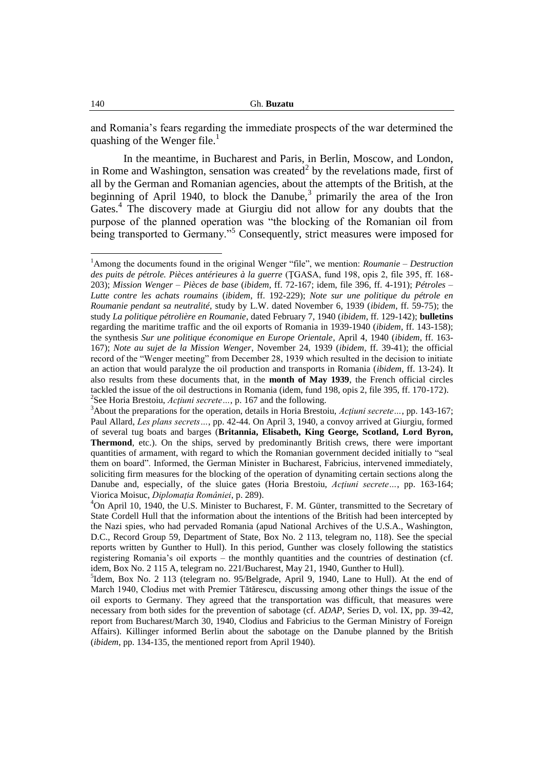and Romania"s fears regarding the immediate prospects of the war determined the quashing of the Wenger file.<sup>1</sup>

In the meantime, in Bucharest and Paris, in Berlin, Moscow, and London, in Rome and Washington, sensation was created<sup>2</sup> by the revelations made, first of all by the German and Romanian agencies, about the attempts of the British, at the beginning of April 1940, to block the Danube,<sup>3</sup> primarily the area of the Iron Gates.<sup>4</sup> The discovery made at Giurgiu did not allow for any doubts that the purpose of the planned operation was "the blocking of the Romanian oil from being transported to Germany."<sup>5</sup> Consequently, strict measures were imposed for

<sup>1</sup>Among the documents found in the original Wenger "file", we mention: *Roumanie – Destruction des puits de pétrole. Pièces antérieures à la guerre* (ŢGASA, fund 198, opis 2, file 395, ff. 168- 203); *Mission Wenger – Pièces de base* (*ibidem*, ff. 72-167; idem, file 396, ff. 4-191); *Pétroles – Lutte contre les achats roumains* (*ibidem*, ff. 192-229); *Note sur une politique du pétrole en Roumanie pendant sa neutralité*, study by L.W. dated November 6, 1939 (*ibidem*, ff. 59-75); the study *La politique pétrolière en Roumanie*, dated February 7, 1940 (*ibidem*, ff. 129-142); **bulletins**  regarding the maritime traffic and the oil exports of Romania in 1939-1940 (*ibidem*, ff. 143-158); the synthesis *Sur une politique économique en Europe Orientale*, April 4, 1940 (*ibidem*, ff. 163- 167); *Note au sujet de la Mission Wenger*, November 24, 1939 (*ibidem*, ff. 39-41); the official record of the "Wenger meeting" from December 28, 1939 which resulted in the decision to initiate an action that would paralyze the oil production and transports in Romania (*ibidem*, ff. 13-24). It also results from these documents that, in the **month of May 1939**, the French official circles tackled the issue of the oil destructions in Romania (idem, fund 198, opis 2, file 395, ff. 170-172). 2 See Horia Brestoiu, *Acţiuni secrete…*, p. 167 and the following.

<sup>3</sup>About the preparations for the operation, details in Horia Brestoiu, *Acţiuni secrete…*, pp. 143-167; Paul Allard, *Les plans secrets…*, pp. 42-44. On April 3, 1940, a convoy arrived at Giurgiu, formed of several tug boats and barges (**Britannia, Elisabeth, King George, Scotland, Lord Byron, Thermond**, etc.). On the ships, served by predominantly British crews, there were important quantities of armament, with regard to which the Romanian government decided initially to "seal them on board". Informed, the German Minister in Bucharest, Fabricius, intervened immediately, soliciting firm measures for the blocking of the operation of dynamiting certain sections along the Danube and, especially, of the sluice gates (Horia Brestoiu, *Acţiuni secrete…*, pp. 163-164; Viorica Moisuc, *Diplomaţia României*, p. 289).

<sup>4</sup>On April 10, 1940, the U.S. Minister to Bucharest, F. M. Günter, transmitted to the Secretary of State Cordell Hull that the information about the intentions of the British had been intercepted by the Nazi spies, who had pervaded Romania (apud National Archives of the U.S.A., Washington, D.C., Record Group 59, Department of State, Box No. 2 113, telegram no, 118). See the special reports written by Gunther to Hull). In this period, Gunther was closely following the statistics registering Romania"s oil exports – the monthly quantities and the countries of destination (cf. idem, Box No. 2 115 A, telegram no. 221/Bucharest, May 21, 1940, Gunther to Hull).

<sup>&</sup>lt;sup>5</sup>Idem, Box No. 2 113 (telegram no. 95/Belgrade, April 9, 1940, Lane to Hull). At the end of March 1940, Clodius met with Premier Tătărescu, discussing among other things the issue of the oil exports to Germany. They agreed that the transportation was difficult, that measures were necessary from both sides for the prevention of sabotage (cf. *ADAP*, Series D, vol. IX, pp. 39-42, report from Bucharest/March 30, 1940, Clodius and Fabricius to the German Ministry of Foreign Affairs). Killinger informed Berlin about the sabotage on the Danube planned by the British (*ibidem*, pp. 134-135, the mentioned report from April 1940).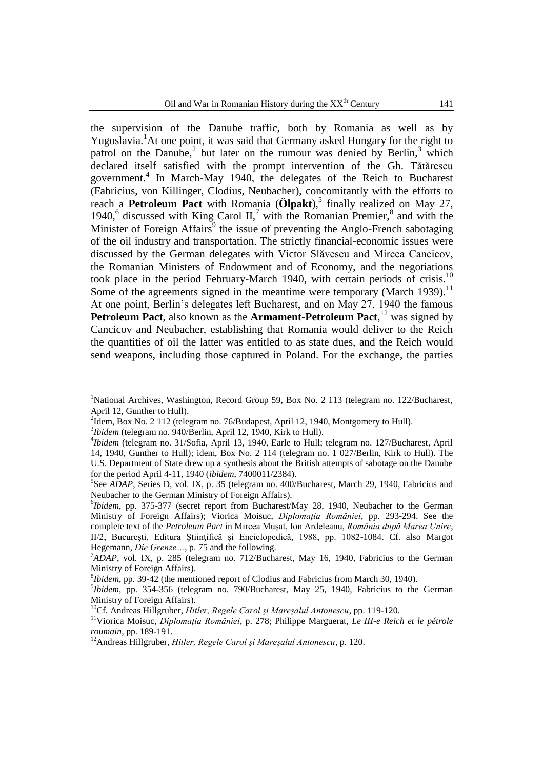the supervision of the Danube traffic, both by Romania as well as by Yugoslavia.<sup>1</sup>At one point, it was said that Germany asked Hungary for the right to patrol on the Danube,<sup>2</sup> but later on the rumour was denied by Berlin,<sup>3</sup> which declared itself satisfied with the prompt intervention of the Gh. Tătărescu government.<sup>4</sup> In March-May 1940, the delegates of the Reich to Bucharest (Fabricius, von Killinger, Clodius, Neubacher), concomitantly with the efforts to reach a **Petroleum Pact** with Romania ( $\ddot{O}$ **lpakt**),<sup>5</sup> finally realized on May 27, 1940,<sup>6</sup> discussed with King Carol II,<sup>7</sup> with the Romanian Premier, $^8$  and with the Minister of Foreign Affairs<sup>9</sup> the issue of preventing the Anglo-French sabotaging of the oil industry and transportation. The strictly financial-economic issues were discussed by the German delegates with Victor Slăvescu and Mircea Cancicov, the Romanian Ministers of Endowment and of Economy, and the negotiations took place in the period February-March 1940, with certain periods of crisis.<sup>10</sup> Some of the agreements signed in the meantime were temporary (March 1939).<sup>11</sup> At one point, Berlin's delegates left Bucharest, and on May 27, 1940 the famous Petroleum Pact, also known as the Armament-Petroleum Pact,<sup>12</sup> was signed by Cancicov and Neubacher, establishing that Romania would deliver to the Reich the quantities of oil the latter was entitled to as state dues, and the Reich would send weapons, including those captured in Poland. For the exchange, the parties

<sup>&</sup>lt;sup>1</sup>National Archives, Washington, Record Group 59, Box No. 2 113 (telegram no. 122/Bucharest, April 12, Gunther to Hull).

<sup>&</sup>lt;sup>2</sup>Idem, Box No. 2 112 (telegram no. 76/Budapest, April 12, 1940, Montgomery to Hull).

<sup>3</sup> *Ibidem* (telegram no. 940/Berlin, April 12, 1940, Kirk to Hull).

<sup>4</sup> *Ibidem* (telegram no. 31/Sofia, April 13, 1940, Earle to Hull; telegram no. 127/Bucharest, April 14, 1940, Gunther to Hull); idem, Box No. 2 114 (telegram no. 1 027/Berlin, Kirk to Hull). The U.S. Department of State drew up a synthesis about the British attempts of sabotage on the Danube for the period April 4-11, 1940 (*ibidem*, 7400011/2384).

<sup>&</sup>lt;sup>5</sup>See *ADAP*, Series D, vol. IX, p. 35 (telegram no. 400/Bucharest, March 29, 1940, Fabricius and Neubacher to the German Ministry of Foreign Affairs).

<sup>6</sup> *Ibidem*, pp. 375-377 (secret report from Bucharest/May 28, 1940, Neubacher to the German Ministry of Foreign Affairs); Viorica Moisuc, *Diplomaţia României*, pp. 293-294. See the complete text of the *Petroleum Pact* in Mircea Muşat, Ion Ardeleanu, *România după Marea Unire*, II/2, Bucureşti, Editura Ştiinţifică şi Enciclopedică, 1988, pp. 1082-1084. Cf. also Margot Hegemann, *Die Grenze…*, p. 75 and the following.

<sup>7</sup>*ADAP*, vol. IX, p. 285 (telegram no. 712/Bucharest, May 16, 1940, Fabricius to the German Ministry of Foreign Affairs).

<sup>8</sup> *Ibidem*, pp. 39-42 (the mentioned report of Clodius and Fabricius from March 30, 1940).

<sup>9</sup> *Ibidem*, pp. 354-356 (telegram no. 790/Bucharest, May 25, 1940, Fabricius to the German Ministry of Foreign Affairs).

<sup>10</sup>Cf. Andreas Hillgruber, *Hitler, Regele Carol şi Mareşalul Antonescu*, pp. 119-120.

<sup>&</sup>lt;sup>11</sup>Viorica Moisuc, *Diplomația României*, p. 278; Philippe Marguerat, *Le III-e Reich et le pétrole roumain*, pp. 189-191.

<sup>12</sup>Andreas Hillgruber, *Hitler, Regele Carol şi Mareşalul Antonescu*, p. 120.